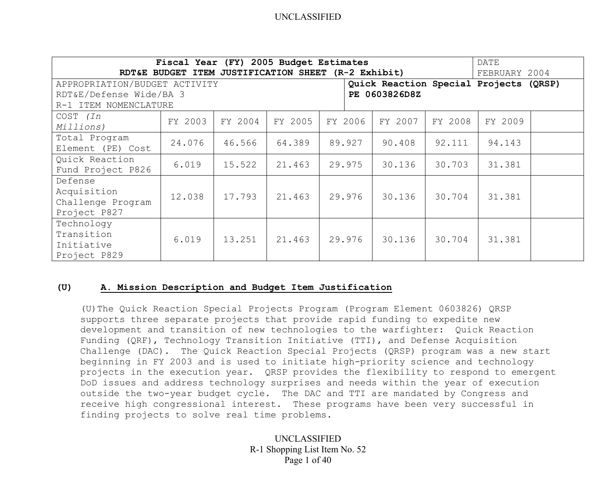| Fiscal Year (FY) 2005 Budget Estimates<br>DATE<br>RDT&E BUDGET ITEM JUSTIFICATION SHEET (R-2 Exhibit)<br>FEBRUARY 2004 |         |         |         |         |         |         |         |  |
|------------------------------------------------------------------------------------------------------------------------|---------|---------|---------|---------|---------|---------|---------|--|
| Quick Reaction Special Projects (QRSP)<br>APPROPRIATION/BUDGET ACTIVITY                                                |         |         |         |         |         |         |         |  |
| RDT&E/Defense Wide/BA 3<br>PE 0603826D8Z                                                                               |         |         |         |         |         |         |         |  |
| R-1 ITEM NOMENCLATURE                                                                                                  |         |         |         |         |         |         |         |  |
| COST (In                                                                                                               | FY 2003 | FY 2004 | FY 2005 | FY 2006 | FY 2007 | FY 2008 | FY 2009 |  |
| Millions)                                                                                                              |         |         |         |         |         |         |         |  |
| Total Program                                                                                                          | 24.076  | 46.566  | 64.389  | 89.927  | 90.408  | 92.111  | 94.143  |  |
| Element (PE) Cost                                                                                                      |         |         |         |         |         |         |         |  |
| Quick Reaction                                                                                                         | 6.019   | 15.522  | 21.463  | 29.975  | 30.136  | 30.703  | 31.381  |  |
| Fund Project P826                                                                                                      |         |         |         |         |         |         |         |  |
| Defense                                                                                                                |         |         |         |         |         |         |         |  |
| Acquisition                                                                                                            | 12.038  | 17.793  | 21.463  | 29.976  | 30.136  | 30.704  | 31.381  |  |
| Challenge Program                                                                                                      |         |         |         |         |         |         |         |  |
| Project P827                                                                                                           |         |         |         |         |         |         |         |  |
| Technology                                                                                                             |         |         |         |         |         |         |         |  |
| Transition                                                                                                             | 6.019   | 13.251  | 21.463  | 29.976  | 30.136  | 30.704  | 31.381  |  |
| Initiative                                                                                                             |         |         |         |         |         |         |         |  |
| Project P829                                                                                                           |         |         |         |         |         |         |         |  |

#### **(U) A. Mission Description and Budget Item Justification**

(U)The Quick Reaction Special Projects Program (Program Element 0603826) QRSP supports three separate projects that provide rapid funding to expedite new development and transition of new technologies to the warfighter: Quick Reaction Funding (QRF), Technology Transition Initiative (TTI), and Defense Acquisition Challenge (DAC). The Quick Reaction Special Projects (QRSP) program was a new start beginning in FY 2003 and is used to initiate high-priority science and technology projects in the execution year. QRSP provides the flexibility to respond to emergent DoD issues and address technology surprises and needs within the year of execution outside the two-year budget cycle. The DAC and TTI are mandated by Congress and receive high congressional interest. These programs have been very successful in finding projects to solve real time problems.

> UNCLASSIFIED R-1 Shopping List Item No. 52 Page 1 of 40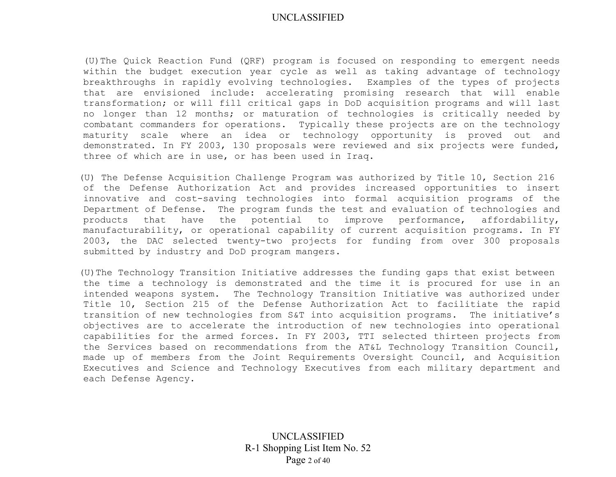(U)The Quick Reaction Fund (QRF) program is focused on responding to emergent needs within the budget execution year cycle as well as taking advantage of technology breakthroughs in rapidly evolving technologies. Examples of the types of projects that are envisioned include: accelerating promising research that will enable transformation; or will fill critical gaps in DoD acquisition programs and will last no longer than 12 months; or maturation of technologies is critically needed by combatant commanders for operations. Typically these projects are on the technology maturity scale where an idea or technology opportunity is proved out and demonstrated. In FY 2003, 130 proposals were reviewed and six projects were funded, three of which are in use, or has been used in Iraq.

(U) The Defense Acquisition Challenge Program was authorized by Title 10, Section 216 of the Defense Authorization Act and provides increased opportunities to insert innovative and cost-saving technologies into formal acquisition programs of the Department of Defense. The program funds the test and evaluation of technologies and products that have the potential to improve performance, affordability, manufacturability, or operational capability of current acquisition programs. In FY 2003, the DAC selected twenty-two projects for funding from over 300 proposals submitted by industry and DoD program mangers.

(U)The Technology Transition Initiative addresses the funding gaps that exist between the time a technology is demonstrated and the time it is procured for use in an intended weapons system. The Technology Transition Initiative was authorized under Title 10, Section 215 of the Defense Authorization Act to facilitiate the rapid transition of new technologies from S&T into acquisition programs. The initiative's objectives are to accelerate the introduction of new technologies into operational capabilities for the armed forces. In FY 2003, TTI selected thirteen projects from the Services based on recommendations from the AT&L Technology Transition Council, made up of members from the Joint Requirements Oversight Council, and Acquisition Executives and Science and Technology Executives from each military department and each Defense Agency.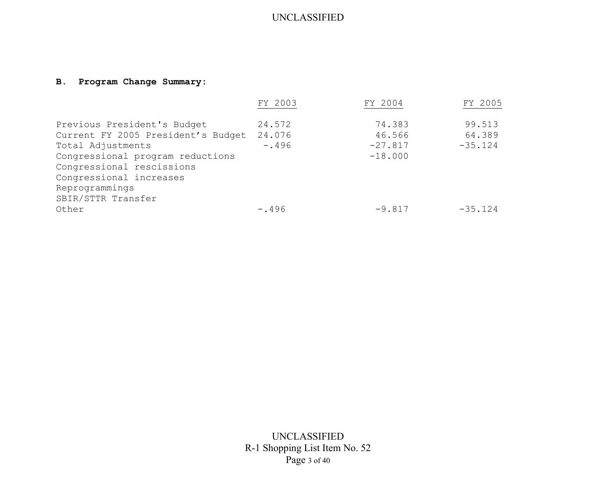# **B. Program Change Summary:**

|                                    | FY 2003 | FY 2004   | FY 2005   |
|------------------------------------|---------|-----------|-----------|
| Previous President's Budget        | 24.572  | 74.383    | 99.513    |
| Current FY 2005 President's Budget | 24.076  | 46.566    | 64.389    |
| Total Adjustments                  | $-.496$ | $-27.817$ | $-35.124$ |
| Congressional program reductions   |         | $-18.000$ |           |
| Congressional rescissions          |         |           |           |
| Congressional increases            |         |           |           |
| Reprogrammings                     |         |           |           |
| SBIR/STTR Transfer                 |         |           |           |
| Other                              | $-.496$ | $-9.817$  | $-35.124$ |

UNCLASSIFIED R-1 Shopping List Item No. 52 Page 3 of 40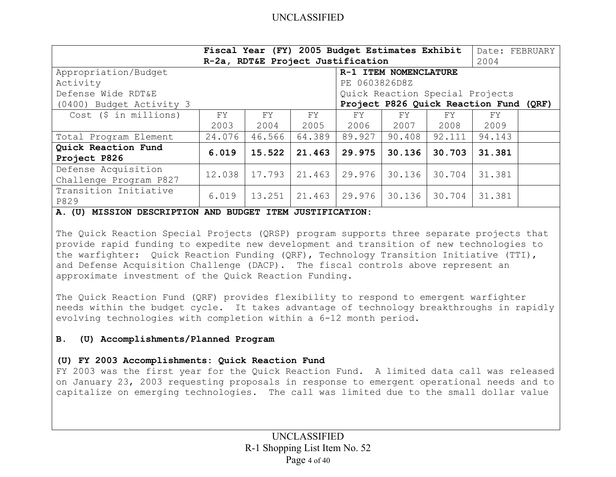|                                               | Fiscal Year (FY) 2005 Budget Estimates Exhibit<br>Date: FEBRUARY<br>R-2a, RDT&E Project Justification<br>2004 |        |        |               |                                        |        |        |  |  |
|-----------------------------------------------|---------------------------------------------------------------------------------------------------------------|--------|--------|---------------|----------------------------------------|--------|--------|--|--|
| Appropriation/Budget                          | R-1 ITEM NOMENCLATURE                                                                                         |        |        |               |                                        |        |        |  |  |
| Activity                                      |                                                                                                               |        |        | PE 0603826D8Z |                                        |        |        |  |  |
| Defense Wide RDT&E                            |                                                                                                               |        |        |               | Quick Reaction Special Projects        |        |        |  |  |
| (0400) Budget Activity 3                      |                                                                                                               |        |        |               | Project P826 Quick Reaction Fund (QRF) |        |        |  |  |
| $Cost$ (\$ in millions)                       | FY                                                                                                            | FY     | FY     | FY            | FY                                     | FY.    | FY     |  |  |
|                                               | 2003                                                                                                          | 2004   | 2005   | 2006          | 2007                                   | 2008   | 2009   |  |  |
| Total Program Element                         | 24.076                                                                                                        | 46.566 | 64.389 | 89.927        | 90.408                                 | 92.111 | 94.143 |  |  |
| Quick Reaction Fund                           | 6.019                                                                                                         | 15.522 | 21.463 | 29.975        | 30.136                                 | 30.703 | 31.381 |  |  |
| Project P826                                  |                                                                                                               |        |        |               |                                        |        |        |  |  |
| Defense Acquisition<br>Challenge Program P827 | 12.038                                                                                                        | 17.793 | 21.463 | 29.976        | 30.136                                 | 30.704 | 31.381 |  |  |
| Transition Initiative<br>P829                 | 6.019                                                                                                         | 13.251 | 21.463 | 29.976        | 30.136                                 | 30.704 | 31.381 |  |  |

**A. (U) MISSION DESCRIPTION AND BUDGET ITEM JUSTIFICATION:** 

The Quick Reaction Special Projects (QRSP) program supports three separate projects that provide rapid funding to expedite new development and transition of new technologies to the warfighter: Quick Reaction Funding (QRF), Technology Transition Initiative (TTI), and Defense Acquisition Challenge (DACP). The fiscal controls above represent an approximate investment of the Quick Reaction Funding.

The Quick Reaction Fund (QRF) provides flexibility to respond to emergent warfighter needs within the budget cycle. It takes advantage of technology breakthroughs in rapidly evolving technologies with completion within a 6-12 month period.

#### **B. (U) Accomplishments/Planned Program**

#### **(U) FY 2003 Accomplishments: Quick Reaction Fund**

FY 2003 was the first year for the Quick Reaction Fund. A limited data call was released on January 23, 2003 requesting proposals in response to emergent operational needs and to capitalize on emerging technologies. The call was limited due to the small dollar value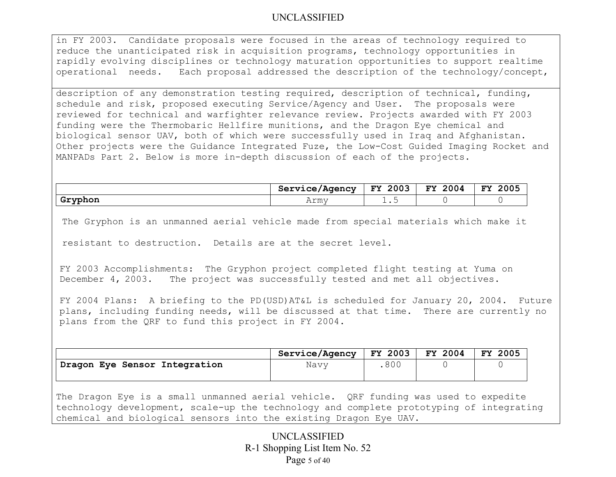in FY 2003. Candidate proposals were focused in the areas of technology required to reduce the unanticipated risk in acquisition programs, technology opportunities in rapidly evolving disciplines or technology maturation opportunities to support realtime operational needs. Each proposal addressed the description of the technology/concept,

description of any demonstration testing required, description of technical, funding, schedule and risk, proposed executing Service/Agency and User. The proposals were reviewed for technical and warfighter relevance review. Projects awarded with FY 2003 funding were the Thermobaric Hellfire munitions, and the Dragon Eye chemical and biological sensor UAV, both of which were successfully used in Iraq and Afghanistan. Other projects were the Guidance Integrated Fuze, the Low-Cost Guided Imaging Rocket and MANPADs Part 2. Below is more in-depth discussion of each of the projects.

|               | Service/Agency | 2003<br>FY | 2004<br><b>FY</b> | 2005<br>FY |
|---------------|----------------|------------|-------------------|------------|
| Gryphon<br>-- | Army           | ∸ ∙ ∼      |                   |            |

The Gryphon is an unmanned aerial vehicle made from special materials which make it

resistant to destruction. Details are at the secret level.

FY 2003 Accomplishments: The Gryphon project completed flight testing at Yuma on December 4, 2003. The project was successfully tested and met all objectives.

FY 2004 Plans: A briefing to the PD(USD)AT&L is scheduled for January 20, 2004. Future plans, including funding needs, will be discussed at that time. There are currently no plans from the QRF to fund this project in FY 2004.

|                               | Service/Agency | <b>FY 2003</b> | FY 2004 | 2005<br><b>FY</b> |
|-------------------------------|----------------|----------------|---------|-------------------|
| Dragon Eye Sensor Integration | Navy           | 800            |         |                   |

The Dragon Eye is a small unmanned aerial vehicle. QRF funding was used to expedite technology development, scale-up the technology and complete prototyping of integrating chemical and biological sensors into the existing Dragon Eye UAV.

> UNCLASSIFIED R-1 Shopping List Item No. 52 Page 5 of 40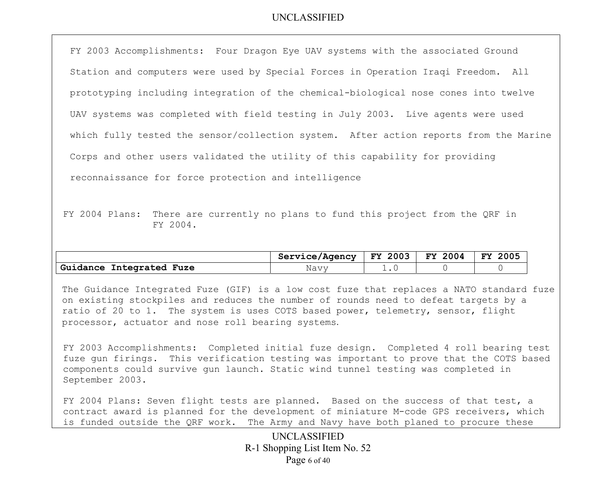FY 2003 Accomplishments: Four Dragon Eye UAV systems with the associated Ground Station and computers were used by Special Forces in Operation Iraqi Freedom. All prototyping including integration of the chemical-biological nose cones into twelve UAV systems was completed with field testing in July 2003. Live agents were used which fully tested the sensor/collection system. After action reports from the Marine Corps and other users validated the utility of this capability for providing reconnaissance for force protection and intelligence

FY 2004 Plans: There are currently no plans to fund this project from the QRF in FY 2004.

|                                       | Service/Agency | 2003<br><b>FY</b> | 2004<br>FY. | 2005<br>FY |
|---------------------------------------|----------------|-------------------|-------------|------------|
| Guidance<br><b>Fuze</b><br>Integrated | Navy           |                   |             |            |

The Guidance Integrated Fuze (GIF) is a low cost fuze that replaces a NATO standard fuze on existing stockpiles and reduces the number of rounds need to defeat targets by a ratio of 20 to 1. The system is uses COTS based power, telemetry, sensor, flight processor, actuator and nose roll bearing systems.

FY 2003 Accomplishments: Completed initial fuze design. Completed 4 roll bearing test fuze gun firings. This verification testing was important to prove that the COTS based components could survive gun launch. Static wind tunnel testing was completed in September 2003.

FY 2004 Plans: Seven flight tests are planned. Based on the success of that test, a contract award is planned for the development of miniature M-code GPS receivers, which is funded outside the QRF work. The Army and Navy have both planed to procure these

> UNCLASSIFIED R-1 Shopping List Item No. 52 Page 6 of 40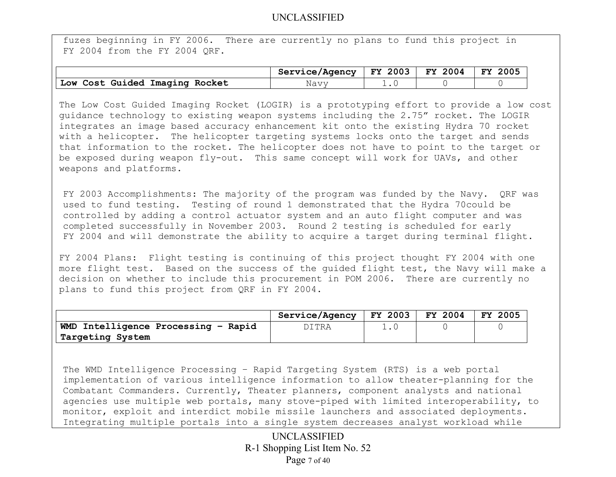fuzes beginning in FY 2006. There are currently no plans to fund this project in FY 2004 from the FY 2004 QRF.

|                                | Service/Agency   FY 2003   FY 2004   FY 2005 |  |  |
|--------------------------------|----------------------------------------------|--|--|
| Low Cost Guided Imaging Rocket | Navy                                         |  |  |

The Low Cost Guided Imaging Rocket (LOGIR) is a prototyping effort to provide a low cost guidance technology to existing weapon systems including the 2.75" rocket. The LOGIR integrates an image based accuracy enhancement kit onto the existing Hydra 70 rocket with a helicopter. The helicopter targeting systems locks onto the target and sends that information to the rocket. The helicopter does not have to point to the target or be exposed during weapon fly-out. This same concept will work for UAVs, and other weapons and platforms.

FY 2003 Accomplishments: The majority of the program was funded by the Navy. QRF was used to fund testing. Testing of round 1 demonstrated that the Hydra 70could be controlled by adding a control actuator system and an auto flight computer and was completed successfully in November 2003. Round 2 testing is scheduled for early FY 2004 and will demonstrate the ability to acquire a target during terminal flight.

FY 2004 Plans: Flight testing is continuing of this project thought FY 2004 with one more flight test. Based on the success of the guided flight test, the Navy will make a decision on whether to include this procurement in POM 2006. There are currently no plans to fund this project from QRF in FY 2004.

|                                     | Service/Agency | <b>FY 2003</b> | FY 2004 | -2005<br>FY. |
|-------------------------------------|----------------|----------------|---------|--------------|
| WMD Intelligence Processing - Rapid | ITRA           |                |         |              |
| Targeting System                    |                |                |         |              |

The WMD Intelligence Processing – Rapid Targeting System (RTS) is a web portal implementation of various intelligence information to allow theater-planning for the Combatant Commanders. Currently, Theater planners, component analysts and national agencies use multiple web portals, many stove-piped with limited interoperability, to monitor, exploit and interdict mobile missile launchers and associated deployments. Integrating multiple portals into a single system decreases analyst workload while

> UNCLASSIFIED R-1 Shopping List Item No. 52 Page 7 of 40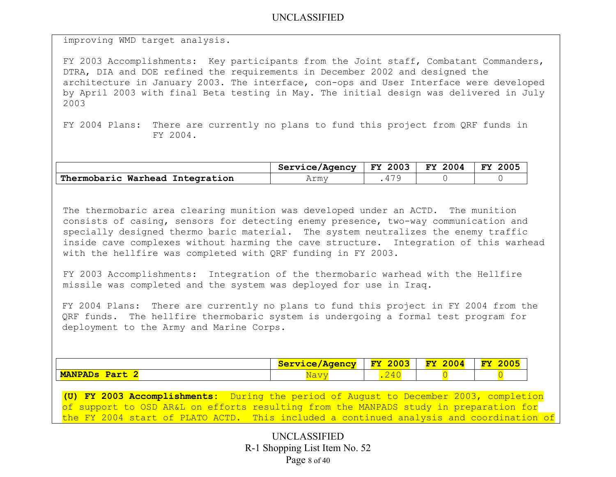improving WMD target analysis.

FY 2003 Accomplishments: Key participants from the Joint staff, Combatant Commanders, DTRA, DIA and DOE refined the requirements in December 2002 and designed the architecture in January 2003. The interface, con-ops and User Interface were developed by April 2003 with final Beta testing in May. The initial design was delivered in July 2003

FY 2004 Plans: There are currently no plans to fund this project from QRF funds in FY 2004.

|                                 | Service/Agency | 2003<br><b>FY</b> | 2004<br>FY. | 2005<br>FY |
|---------------------------------|----------------|-------------------|-------------|------------|
| Thermobaric Warhead Integration | Armv           | 70                |             |            |

The thermobaric area clearing munition was developed under an ACTD. The munition consists of casing, sensors for detecting enemy presence, two-way communication and specially designed thermo baric material. The system neutralizes the enemy traffic inside cave complexes without harming the cave structure. Integration of this warhead with the hellfire was completed with QRF funding in FY 2003.

FY 2003 Accomplishments: Integration of the thermobaric warhead with the Hellfire missile was completed and the system was deployed for use in Iraq.

FY 2004 Plans: There are currently no plans to fund this project in FY 2004 from the QRF funds. The hellfire thermobaric system is undergoing a formal test program for deployment to the Army and Marine Corps.

|                        | <b>Service/Agency</b>          | 2003<br>$FY$  | 0.00<br>$\overline{\mathbf{F}}\mathbf{V}$<br>.004 | $\sim$ $\sim$ $\sim$<br>${\bf FY}$<br><u> CUUL</u> |
|------------------------|--------------------------------|---------------|---------------------------------------------------|----------------------------------------------------|
| <b>MANPADS</b><br>Part | --<br>$- - - -$<br><b>IVCL</b> | $\sim$<br>- - |                                                   |                                                    |

**(U) FY 2003 Accomplishments:** During the period of August to December 2003, completion of support to OSD AR&L on efforts resulting from the MANPADS study in preparation for the FY 2004 start of PLATO ACTD. This included a continued analysis and coordination of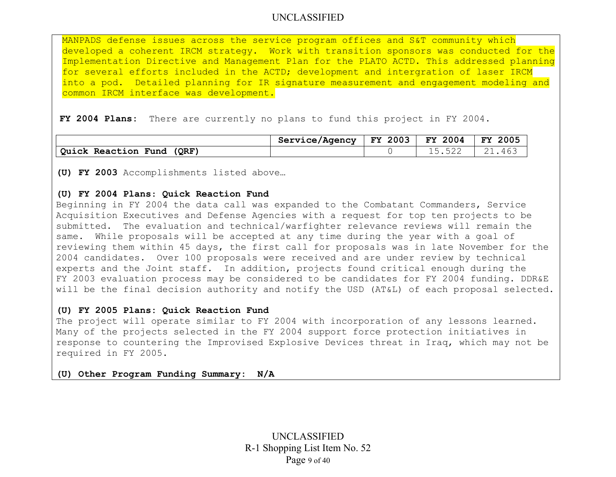MANPADS defense issues across the service program offices and S&T community which developed a coherent IRCM strategy. Work with transition sponsors was conducted for the Implementation Directive and Management Plan for the PLATO ACTD. This addressed planning for several efforts included in the ACTD; development and intergration of laser IRCM into a pod. Detailed planning for IR signature measurement and engagement modeling and common IRCM interface was development.

**FY 2004 Plans:** There are currently no plans to fund this project in FY 2004.

|                              | Service/Agency | FY 2003 | <b>FY 2004</b> | -2005<br><b>FY</b> |
|------------------------------|----------------|---------|----------------|--------------------|
| Quick Reaction Fund<br>(ORF) |                |         |                | -461               |

**(U) FY 2003** Accomplishments listed above…

#### **(U) FY 2004 Plans**: **Quick Reaction Fund**

Beginning in FY 2004 the data call was expanded to the Combatant Commanders, Service Acquisition Executives and Defense Agencies with a request for top ten projects to be submitted. The evaluation and technical/warfighter relevance reviews will remain the same. While proposals will be accepted at any time during the year with a goal of reviewing them within 45 days, the first call for proposals was in late November for the 2004 candidates. Over 100 proposals were received and are under review by technical experts and the Joint staff. In addition, projects found critical enough during the FY 2003 evaluation process may be considered to be candidates for FY 2004 funding. DDR&E will be the final decision authority and notify the USD (AT&L) of each proposal selected.

#### **(U) FY 2005 Plans: Quick Reaction Fund**

The project will operate similar to FY 2004 with incorporation of any lessons learned. Many of the projects selected in the FY 2004 support force protection initiatives in response to countering the Improvised Explosive Devices threat in Iraq, which may not be required in FY 2005.

**(U) Other Program Funding Summary: N/A**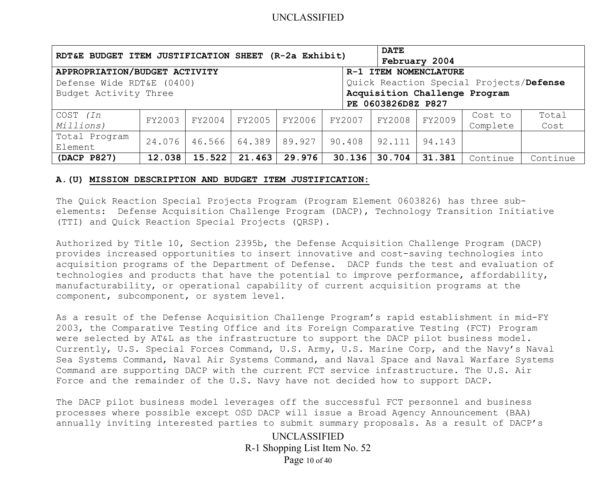| RDT&E BUDGET ITEM JUSTIFICATION SHEET (R-2a Exhibit)                 |        |        |        |        |        | <b>DATE</b>        |               |          |          |
|----------------------------------------------------------------------|--------|--------|--------|--------|--------|--------------------|---------------|----------|----------|
|                                                                      |        |        |        |        |        |                    | February 2004 |          |          |
| APPROPRIATION/BUDGET ACTIVITY<br>R-1 ITEM NOMENCLATURE               |        |        |        |        |        |                    |               |          |          |
| Quick Reaction Special Projects/Defense<br>Defense Wide RDT&E (0400) |        |        |        |        |        |                    |               |          |          |
| Acquisition Challenge Program<br>Budget Activity Three               |        |        |        |        |        |                    |               |          |          |
|                                                                      |        |        |        |        |        | PE 0603826D8Z P827 |               |          |          |
| COST (In                                                             | FY2003 | FY2004 | FY2005 | FY2006 | FY2007 | FY2008             | FY2009        | Cost to  | Total    |
| Millions)                                                            |        |        |        |        |        |                    |               | Complete | Cost     |
| Total Program                                                        | 24.076 | 46.566 | 64.389 | 89.927 | 90.408 | 92.111             | 94.143        |          |          |
| Element                                                              |        |        |        |        |        |                    |               |          |          |
| (DACP P827)                                                          | 12.038 | 15.522 | 21.463 | 29.976 | 30.136 | 30.704             | 31.381        | Continue | Continue |

#### **A.(U) MISSION DESCRIPTION AND BUDGET ITEM JUSTIFICATION:**

The Quick Reaction Special Projects Program (Program Element 0603826) has three subelements: Defense Acquisition Challenge Program (DACP), Technology Transition Initiative (TTI) and Quick Reaction Special Projects (QRSP).

Authorized by Title 10, Section 2395b, the Defense Acquisition Challenge Program (DACP) provides increased opportunities to insert innovative and cost-saving technologies into acquisition programs of the Department of Defense. DACP funds the test and evaluation of technologies and products that have the potential to improve performance, affordability, manufacturability, or operational capability of current acquisition programs at the component, subcomponent, or system level.

As a result of the Defense Acquisition Challenge Program's rapid establishment in mid-FY 2003, the Comparative Testing Office and its Foreign Comparative Testing (FCT) Program were selected by AT&L as the infrastructure to support the DACP pilot business model. Currently, U.S. Special Forces Command, U.S. Army, U.S. Marine Corp, and the Navy's Naval Sea Systems Command, Naval Air Systems Command, and Naval Space and Naval Warfare Systems Command are supporting DACP with the current FCT service infrastructure. The U.S. Air Force and the remainder of the U.S. Navy have not decided how to support DACP.

The DACP pilot business model leverages off the successful FCT personnel and business processes where possible except OSD DACP will issue a Broad Agency Announcement (BAA) annually inviting interested parties to submit summary proposals. As a result of DACP's

> UNCLASSIFIED R-1 Shopping List Item No. 52 Page 10 of 40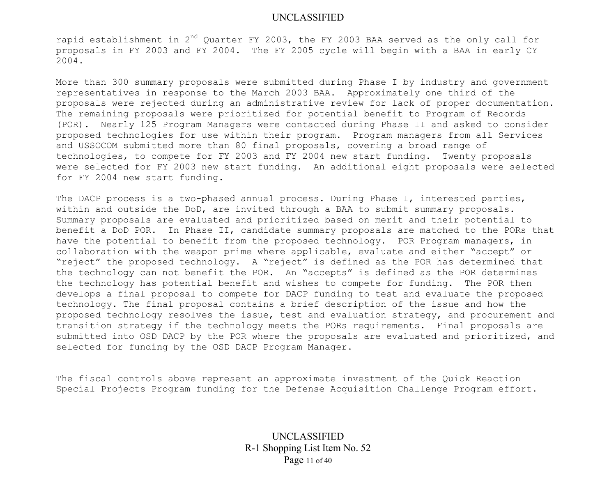rapid establishment in 2<sup>nd</sup> Quarter FY 2003, the FY 2003 BAA served as the only call for proposals in FY 2003 and FY 2004. The FY 2005 cycle will begin with a BAA in early CY 2004.

More than 300 summary proposals were submitted during Phase I by industry and government representatives in response to the March 2003 BAA. Approximately one third of the proposals were rejected during an administrative review for lack of proper documentation. The remaining proposals were prioritized for potential benefit to Program of Records (POR). Nearly 125 Program Managers were contacted during Phase II and asked to consider proposed technologies for use within their program. Program managers from all Services and USSOCOM submitted more than 80 final proposals, covering a broad range of technologies, to compete for FY 2003 and FY 2004 new start funding. Twenty proposals were selected for FY 2003 new start funding. An additional eight proposals were selected for FY 2004 new start funding.

The DACP process is a two-phased annual process. During Phase I, interested parties, within and outside the DoD, are invited through a BAA to submit summary proposals. Summary proposals are evaluated and prioritized based on merit and their potential to benefit a DoD POR. In Phase II, candidate summary proposals are matched to the PORs that have the potential to benefit from the proposed technology. POR Program managers, in collaboration with the weapon prime where applicable, evaluate and either "accept" or "reject" the proposed technology. A "reject" is defined as the POR has determined that the technology can not benefit the POR. An "accepts" is defined as the POR determines the technology has potential benefit and wishes to compete for funding. The POR then develops a final proposal to compete for DACP funding to test and evaluate the proposed technology. The final proposal contains a brief description of the issue and how the proposed technology resolves the issue, test and evaluation strategy, and procurement and transition strategy if the technology meets the PORs requirements. Final proposals are submitted into OSD DACP by the POR where the proposals are evaluated and prioritized, and selected for funding by the OSD DACP Program Manager.

The fiscal controls above represent an approximate investment of the Quick Reaction Special Projects Program funding for the Defense Acquisition Challenge Program effort.

> UNCLASSIFIED R-1 Shopping List Item No. 52 Page 11 of 40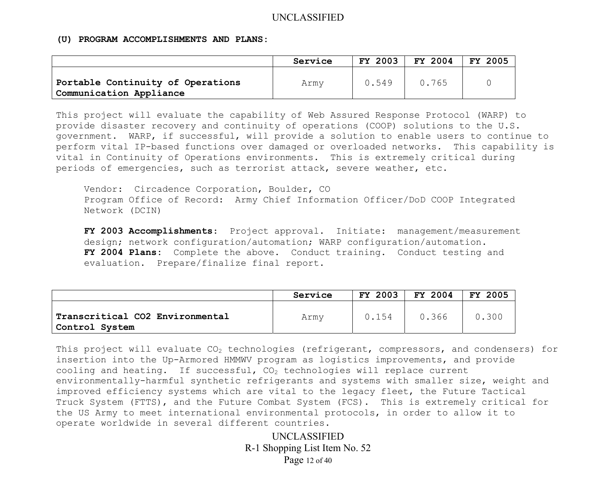#### **(U) PROGRAM ACCOMPLISHMENTS AND PLANS:**

|                                                              | Service | FY 2003 | FY 2004 | <b>FY 2005</b> |
|--------------------------------------------------------------|---------|---------|---------|----------------|
| Portable Continuity of Operations<br>Communication Appliance | Army    | 0.549   | 0.765   |                |

This project will evaluate the capability of Web Assured Response Protocol (WARP) to provide disaster recovery and continuity of operations (COOP) solutions to the U.S. government. WARP, if successful, will provide a solution to enable users to continue to perform vital IP-based functions over damaged or overloaded networks. This capability is vital in Continuity of Operations environments. This is extremely critical during periods of emergencies, such as terrorist attack, severe weather, etc.

Vendor: Circadence Corporation, Boulder, CO Program Office of Record: Army Chief Information Officer/DoD COOP Integrated Network (DCIN)

**FY 2003 Accomplishments**: Project approval. Initiate: management/measurement design; network configuration/automation; WARP configuration/automation. **FY 2004 Plans:** Complete the above. Conduct training. Conduct testing and evaluation. Prepare/finalize final report.

|                                                   | Service | FY 2003 | FY 2004 | 2005<br>FY |
|---------------------------------------------------|---------|---------|---------|------------|
| Transcritical CO2 Environmental<br>Control System | Army    | 0.154   | 0.366   | 0.300      |

This project will evaluate  $CO<sub>2</sub>$  technologies (refrigerant, compressors, and condensers) for insertion into the Up-Armored HMMWV program as logistics improvements, and provide cooling and heating. If successful,  $CO<sub>2</sub>$  technologies will replace current environmentally-harmful synthetic refrigerants and systems with smaller size, weight and improved efficiency systems which are vital to the legacy fleet, the Future Tactical Truck System (FTTS), and the Future Combat System (FCS). This is extremely critical for the US Army to meet international environmental protocols, in order to allow it to operate worldwide in several different countries.

> UNCLASSIFIED R-1 Shopping List Item No. 52 Page 12 of 40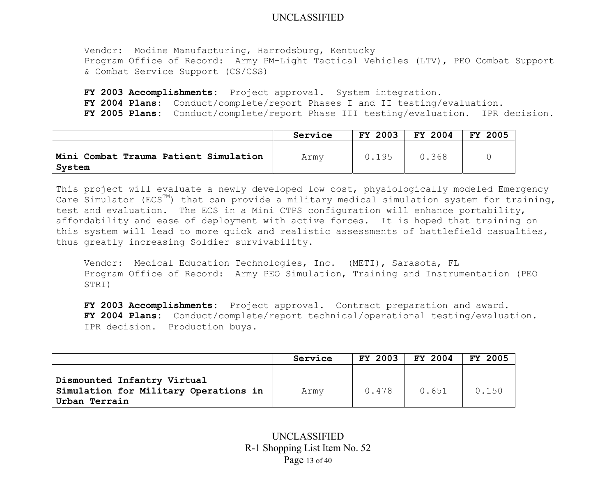Vendor: Modine Manufacturing, Harrodsburg, Kentucky Program Office of Record: Army PM-Light Tactical Vehicles (LTV), PEO Combat Support & Combat Service Support (CS/CSS)

**FY 2003 Accomplishments:** Project approval. System integration. **FY 2004 Plans:** Conduct/complete/report Phases I and II testing/evaluation. **FY 2005 Plans:** Conduct/complete/report Phase III testing/evaluation. IPR decision.

|                                                   | Service | FY 2003 | FY 2004 | 2005<br><b>FY</b> |
|---------------------------------------------------|---------|---------|---------|-------------------|
| Mini Combat Trauma Patient Simulation<br>' System | Army    | 0.195   | 0.368   |                   |

This project will evaluate a newly developed low cost, physiologically modeled Emergency Care Simulator (ECS<sup>TM</sup>) that can provide a military medical simulation system for training, test and evaluation. The ECS in a Mini CTPS configuration will enhance portability, affordability and ease of deployment with active forces. It is hoped that training on this system will lead to more quick and realistic assessments of battlefield casualties, thus greatly increasing Soldier survivability.

Vendor: Medical Education Technologies, Inc. (METI), Sarasota, FL Program Office of Record: Army PEO Simulation, Training and Instrumentation (PEO STRI)

**FY 2003 Accomplishments:** Project approval. Contract preparation and award. **FY 2004 Plans:** Conduct/complete/report technical/operational testing/evaluation. IPR decision. Production buys.

|                                                                                       | Service | <b>FY 2003</b> | FY 2004 | <b>FY 2005</b> |
|---------------------------------------------------------------------------------------|---------|----------------|---------|----------------|
| Dismounted Infantry Virtual<br>Simulation for Military Operations in<br>Urban Terrain | Army    | 0.478          | 0.651   | 0.150          |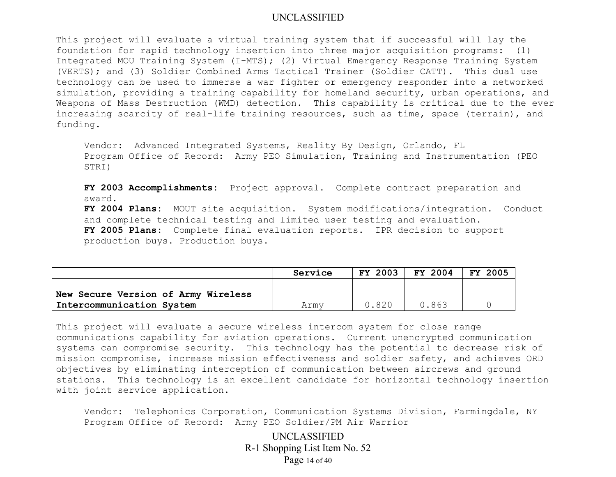This project will evaluate a virtual training system that if successful will lay the foundation for rapid technology insertion into three major acquisition programs: (1) Integrated MOU Training System (I-MTS); (2) Virtual Emergency Response Training System (VERTS); and (3) Soldier Combined Arms Tactical Trainer (Soldier CATT). This dual use technology can be used to immerse a war fighter or emergency responder into a networked simulation, providing a training capability for homeland security, urban operations, and Weapons of Mass Destruction (WMD) detection. This capability is critical due to the ever increasing scarcity of real-life training resources, such as time, space (terrain), and funding.

Vendor: Advanced Integrated Systems, Reality By Design, Orlando, FL Program Office of Record: Army PEO Simulation, Training and Instrumentation (PEO STRI)

**FY 2003 Accomplishments:** Project approval. Complete contract preparation and award.

**FY 2004 Plans:** MOUT site acquisition. System modifications/integration. Conduct and complete technical testing and limited user testing and evaluation. **FY 2005 Plans:** Complete final evaluation reports. IPR decision to support production buys. Production buys.

|                                     | Service | FY 2003 | FY 2004 | FY 2005 |
|-------------------------------------|---------|---------|---------|---------|
| New Secure Version of Army Wireless |         |         |         |         |
| Intercommunication System           | Armv    | 0.820   | 0.863   |         |

This project will evaluate a secure wireless intercom system for close range communications capability for aviation operations. Current unencrypted communication systems can compromise security. This technology has the potential to decrease risk of mission compromise, increase mission effectiveness and soldier safety, and achieves ORD objectives by eliminating interception of communication between aircrews and ground stations. This technology is an excellent candidate for horizontal technology insertion with joint service application.

Vendor: Telephonics Corporation, Communication Systems Division, Farmingdale, NY Program Office of Record: Army PEO Soldier/PM Air Warrior

> UNCLASSIFIED R-1 Shopping List Item No. 52 Page 14 of 40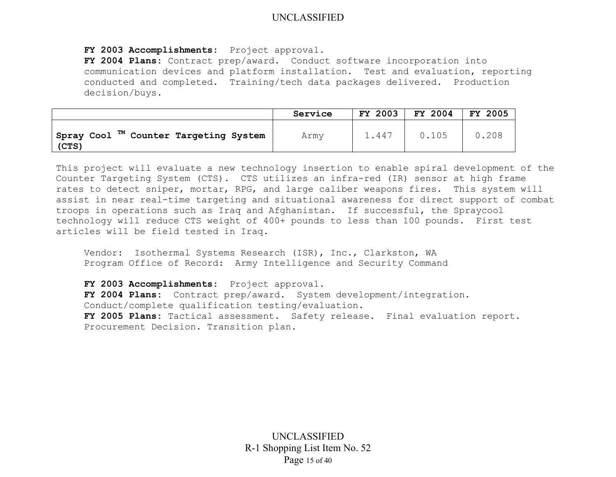**FY 2003 Accomplishments:** Project approval.

**FY 2004 Plans:** Contract prep/award. Conduct software incorporation into communication devices and platform installation. Test and evaluation, reporting conducted and completed. Training/tech data packages delivered. Production decision/buys.

|                                                            | Service | FY 2003            | <b>FY 2004</b> | <b>FY 2005</b> |
|------------------------------------------------------------|---------|--------------------|----------------|----------------|
| Spray Cool <sup>TM</sup> Counter Targeting System<br>(CTS) | Army    | $\overline{4.447}$ | 0.105          | 0.208          |

This project will evaluate a new technology insertion to enable spiral development of the Counter Targeting System (CTS). CTS utilizes an infra-red (IR) sensor at high frame rates to detect sniper, mortar, RPG, and large caliber weapons fires. This system will assist in near real-time targeting and situational awareness for direct support of combat troops in operations such as Iraq and Afghanistan. If successful, the Spraycool technology will reduce CTS weight of 400+ pounds to less than 100 pounds. First test articles will be field tested in Iraq.

Vendor: Isothermal Systems Research (ISR), Inc., Clarkston, WA Program Office of Record: Army Intelligence and Security Command

**FY 2003 Accomplishments:** Project approval. **FY 2004 Plans:** Contract prep/award. System development/integration. Conduct/complete qualification testing/evaluation. **FY 2005 Plans:** Tactical assessment. Safety release. Final evaluation report. Procurement Decision. Transition plan.

> UNCLASSIFIED R-1 Shopping List Item No. 52 Page 15 of 40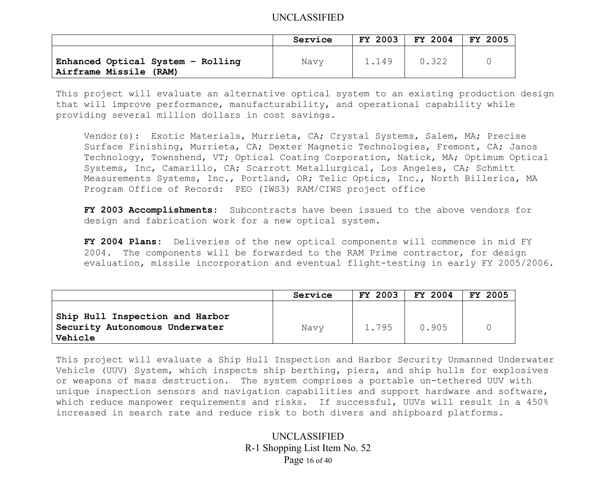|                                                             | Service | FY 2003 | FY 2004 | FY 2005 |
|-------------------------------------------------------------|---------|---------|---------|---------|
| Enhanced Optical System - Rolling<br>Airframe Missile (RAM) | Navy    | 1.149   | 0.322   |         |

This project will evaluate an alternative optical system to an existing production design that will improve performance, manufacturability, and operational capability while providing several million dollars in cost savings.

Vendor(s): Exotic Materials, Murrieta, CA; Crystal Systems, Salem, MA; Precise Surface Finishing, Murrieta, CA; Dexter Magnetic Technologies, Fremont, CA; Janos Technology, Townshend, VT; Optical Coating Corporation, Natick, MA; Optimum Optical Systems, Inc, Camarillo, CA; Scarrott Metallurgical, Los Angeles, CA; Schmitt Measurements Systems, Inc., Portland, OR; Telic Optics, Inc., North Billerica, MA Program Office of Record: PEO (IWS3) RAM/CIWS project office

**FY 2003 Accomplishments:** Subcontracts have been issued to the above vendors for design and fabrication work for a new optical system.

**FY 2004 Plans:** Deliveries of the new optical components will commence in mid FY 2004. The components will be forwarded to the RAM Prime contractor, for design evaluation, missile incorporation and eventual flight-testing in early FY 2005/2006.

|                                                                                | Service | FY 2003 | <b>FY 2004</b> | FY 2005 |
|--------------------------------------------------------------------------------|---------|---------|----------------|---------|
| Ship Hull Inspection and Harbor<br>Security Autonomous Underwater<br>  Vehicle | Navv    | 1.795   | 0.905          |         |

This project will evaluate a Ship Hull Inspection and Harbor Security Unmanned Underwater Vehicle (UUV) System, which inspects ship berthing, piers, and ship hulls for explosives or weapons of mass destruction. The system comprises a portable un-tethered UUV with unique inspection sensors and navigation capabilities and support hardware and software, which reduce manpower requirements and risks. If successful, UUVs will result in a 450% increased in search rate and reduce risk to both divers and shipboard platforms.

> UNCLASSIFIED R-1 Shopping List Item No. 52 Page 16 of 40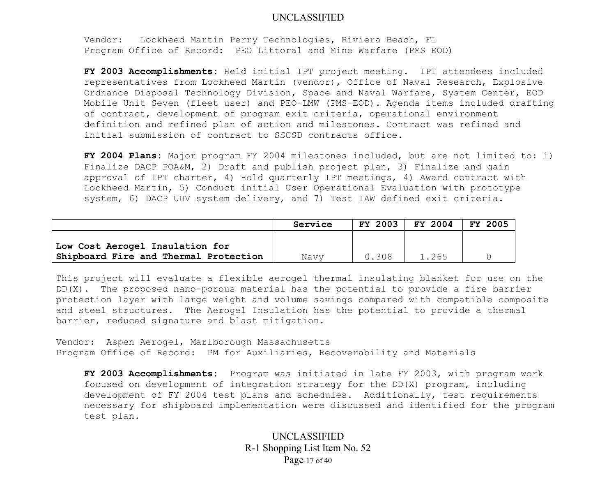Vendor: Lockheed Martin Perry Technologies, Riviera Beach, FL Program Office of Record: PEO Littoral and Mine Warfare (PMS EOD)

**FY 2003 Accomplishments:** Held initial IPT project meeting. IPT attendees included representatives from Lockheed Martin (vendor), Office of Naval Research, Explosive Ordnance Disposal Technology Division, Space and Naval Warfare, System Center, EOD Mobile Unit Seven (fleet user) and PEO-LMW (PMS-EOD). Agenda items included drafting of contract, development of program exit criteria, operational environment definition and refined plan of action and milestones. Contract was refined and initial submission of contract to SSCSD contracts office.

**FY 2004 Plans:** Major program FY 2004 milestones included, but are not limited to: 1) Finalize DACP POA&M, 2) Draft and publish project plan, 3) Finalize and gain approval of IPT charter, 4) Hold quarterly IPT meetings, 4) Award contract with Lockheed Martin, 5) Conduct initial User Operational Evaluation with prototype system, 6) DACP UUV system delivery, and 7) Test IAW defined exit criteria.

|                                       | Service | FY 2003 | FY 2004 | FY 2005 |
|---------------------------------------|---------|---------|---------|---------|
| Low Cost Aerogel Insulation for       |         |         |         |         |
| Shipboard Fire and Thermal Protection | Navv    | 0.308   | 1.265   |         |

This project will evaluate a flexible aerogel thermal insulating blanket for use on the DD(X). The proposed nano-porous material has the potential to provide a fire barrier protection layer with large weight and volume savings compared with compatible composite and steel structures. The Aerogel Insulation has the potential to provide a thermal barrier, reduced signature and blast mitigation.

Vendor: Aspen Aerogel, Marlborough Massachusetts Program Office of Record: PM for Auxiliaries, Recoverability and Materials

**FY 2003 Accomplishments:** Program was initiated in late FY 2003, with program work focused on development of integration strategy for the DD(X) program, including development of FY 2004 test plans and schedules. Additionally, test requirements necessary for shipboard implementation were discussed and identified for the program test plan.

> UNCLASSIFIED R-1 Shopping List Item No. 52 Page 17 of 40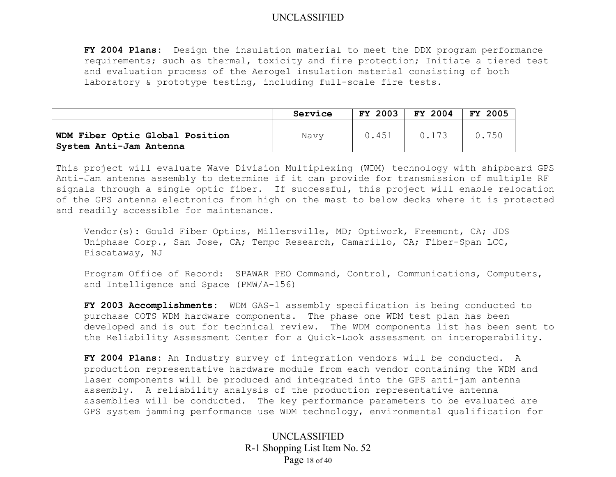**FY 2004 Plans:** Design the insulation material to meet the DDX program performance requirements; such as thermal, toxicity and fire protection; Initiate a tiered test and evaluation process of the Aerogel insulation material consisting of both laboratory & prototype testing, including full-scale fire tests.

|                                                            | Service | FY 2003 | FY 2004 | FY 2005 |
|------------------------------------------------------------|---------|---------|---------|---------|
| WDM Fiber Optic Global Position<br>System Anti-Jam Antenna | Navy    | 0.451   | 0.173   | 0.750   |

This project will evaluate Wave Division Multiplexing (WDM) technology with shipboard GPS Anti-Jam antenna assembly to determine if it can provide for transmission of multiple RF signals through a single optic fiber. If successful, this project will enable relocation of the GPS antenna electronics from high on the mast to below decks where it is protected and readily accessible for maintenance.

Vendor(s): Gould Fiber Optics, Millersville, MD; Optiwork, Freemont, CA; JDS Uniphase Corp., San Jose, CA; Tempo Research, Camarillo, CA; Fiber-Span LCC, Piscataway, NJ

Program Office of Record: SPAWAR PEO Command, Control, Communications, Computers, and Intelligence and Space (PMW/A-156)

**FY 2003 Accomplishments:** WDM GAS-1 assembly specification is being conducted to purchase COTS WDM hardware components. The phase one WDM test plan has been developed and is out for technical review. The WDM components list has been sent to the Reliability Assessment Center for a Quick-Look assessment on interoperability.

**FY 2004 Plans:** An Industry survey of integration vendors will be conducted. A production representative hardware module from each vendor containing the WDM and laser components will be produced and integrated into the GPS anti-jam antenna assembly. A reliability analysis of the production representative antenna assemblies will be conducted. The key performance parameters to be evaluated are GPS system jamming performance use WDM technology, environmental qualification for

> UNCLASSIFIED R-1 Shopping List Item No. 52 Page 18 of 40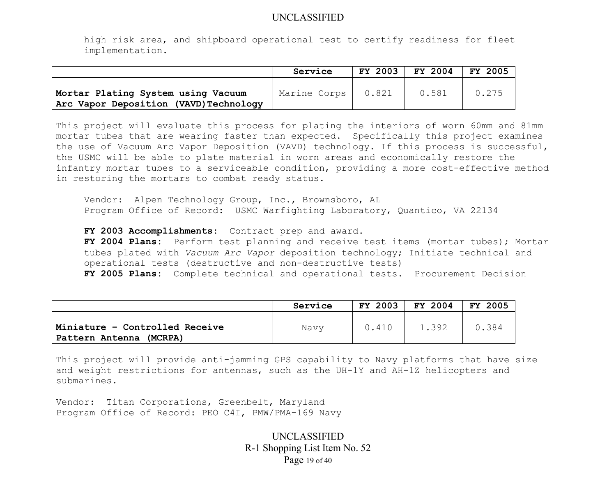high risk area, and shipboard operational test to certify readiness for fleet implementation.

|                                                                             | Service            | FY 2003 | FY 2004 | FY 2005 |
|-----------------------------------------------------------------------------|--------------------|---------|---------|---------|
| Mortar Plating System using Vacuum<br>Arc Vapor Deposition (VAVD)Technology | Marine Corps 0.821 |         | 0.581   | 0.275   |

This project will evaluate this process for plating the interiors of worn 60mm and 81mm mortar tubes that are wearing faster than expected. Specifically this project examines the use of Vacuum Arc Vapor Deposition (VAVD) technology. If this process is successful, the USMC will be able to plate material in worn areas and economically restore the infantry mortar tubes to a serviceable condition, providing a more cost-effective method in restoring the mortars to combat ready status.

 Vendor: Alpen Technology Group, Inc., Brownsboro, AL Program Office of Record: USMC Warfighting Laboratory, Quantico, VA 22134

**FY 2003 Accomplishments:** Contract prep and award. **FY 2004 Plans:** Perform test planning and receive test items (mortar tubes); Mortar tubes plated with *Vacuum Arc Vapor* deposition technology; Initiate technical and operational tests (destructive and non-destructive tests) **FY 2005 Plans:** Complete technical and operational tests. Procurement Decision

|                                                              | Service | 2003<br>FY . | FY 2004 | 2005<br><b>FY</b> |
|--------------------------------------------------------------|---------|--------------|---------|-------------------|
| Miniature - Controlled Receive<br>(MCRPA)<br>Pattern Antenna | Navy    | 0.410        | 1.392   | 0.384             |

This project will provide anti-jamming GPS capability to Navy platforms that have size and weight restrictions for antennas, such as the UH-1Y and AH-1Z helicopters and submarines.

Vendor: Titan Corporations, Greenbelt, Maryland Program Office of Record: PEO C4I, PMW/PMA-169 Navy

> UNCLASSIFIED R-1 Shopping List Item No. 52 Page 19 of 40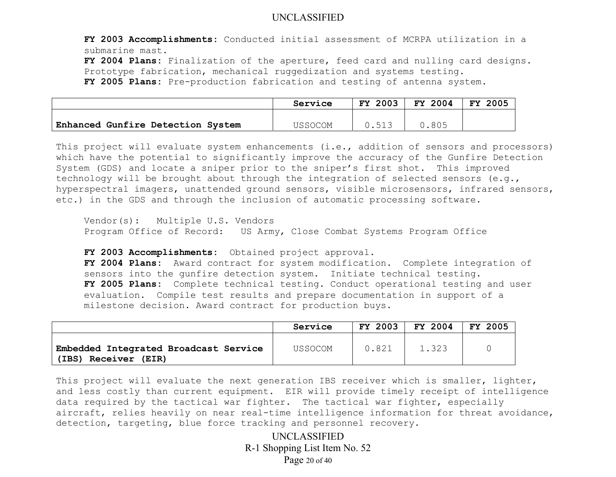**FY 2003 Accomplishments:** Conducted initial assessment of MCRPA utilization in a submarine mast.

**FY 2004 Plans:** Finalization of the aperture, feed card and nulling card designs. Prototype fabrication, mechanical ruggedization and systems testing. **FY 2005 Plans:** Pre-production fabrication and testing of antenna system.

|                                   | Service | 2003<br>FY | FY 2004 | <b>FY</b><br>2005 |
|-----------------------------------|---------|------------|---------|-------------------|
|                                   |         |            |         |                   |
| Enhanced Gunfire Detection System | USSOCOM | 512        | 0.805   |                   |

This project will evaluate system enhancements (i.e., addition of sensors and processors) which have the potential to significantly improve the accuracy of the Gunfire Detection System (GDS) and locate a sniper prior to the sniper's first shot. This improved technology will be brought about through the integration of selected sensors (e.g., hyperspectral imagers, unattended ground sensors, visible microsensors, infrared sensors, etc.) in the GDS and through the inclusion of automatic processing software.

Vendor(s): Multiple U.S. Vendors Program Office of Record: US Army, Close Combat Systems Program Office

**FY 2003 Accomplishments:** Obtained project approval.

**FY 2004 Plans:** Award contract for system modification. Complete integration of sensors into the gunfire detection system. Initiate technical testing. **FY 2005 Plans:** Complete technical testing. Conduct operational testing and user evaluation. Compile test results and prepare documentation in support of a milestone decision. Award contract for production buys.

|                                                                  | Service        | <b>FY 2003</b> | FY 2004 | 2005<br><b>FY</b> |
|------------------------------------------------------------------|----------------|----------------|---------|-------------------|
| Embedded Integrated Broadcast Service<br>(IBS)<br>Receiver (EIR) | <b>USSOCOM</b> | 0.821          | 1.323   |                   |

This project will evaluate the next generation IBS receiver which is smaller, lighter, and less costly than current equipment. EIR will provide timely receipt of intelligence data required by the tactical war fighter. The tactical war fighter, especially aircraft, relies heavily on near real-time intelligence information for threat avoidance, detection, targeting, blue force tracking and personnel recovery.

> UNCLASSIFIED R-1 Shopping List Item No. 52 Page 20 of 40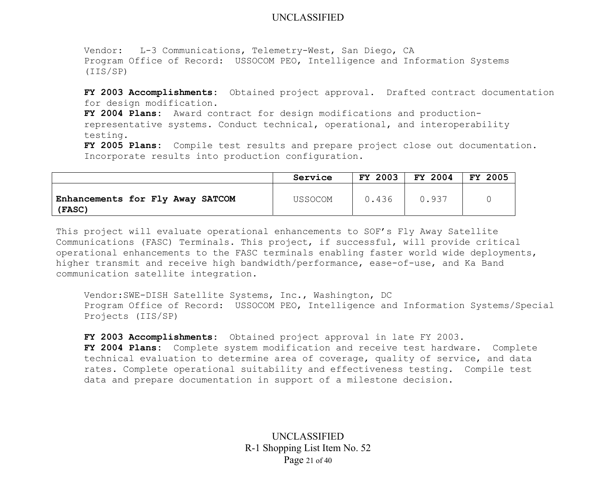Vendor: L-3 Communications, Telemetry-West, San Diego, CA Program Office of Record: USSOCOM PEO, Intelligence and Information Systems (IIS/SP)

**FY 2003 Accomplishments:** Obtained project approval. Drafted contract documentation for design modification.

**FY 2004 Plans:** Award contract for design modifications and productionrepresentative systems. Conduct technical, operational, and interoperability testing.

**FY 2005 Plans:** Compile test results and prepare project close out documentation. Incorporate results into production configuration.

|                                            | Service | FY 2003 | FY 2004 | <b>FY 2005</b> |
|--------------------------------------------|---------|---------|---------|----------------|
| Enhancements for Fly Away SATCOM<br>(FASC) | USSOCOM | 0.436   | 0.937   |                |

This project will evaluate operational enhancements to SOF's Fly Away Satellite Communications (FASC) Terminals. This project, if successful, will provide critical operational enhancements to the FASC terminals enabling faster world wide deployments, higher transmit and receive high bandwidth/performance, ease-of-use, and Ka Band communication satellite integration.

Vendor:SWE-DISH Satellite Systems, Inc., Washington, DC Program Office of Record: USSOCOM PEO, Intelligence and Information Systems/Special Projects (IIS/SP)

**FY 2003 Accomplishments:** Obtained project approval in late FY 2003. **FY 2004 Plans:** Complete system modification and receive test hardware. Complete technical evaluation to determine area of coverage, quality of service, and data rates. Complete operational suitability and effectiveness testing. Compile test data and prepare documentation in support of a milestone decision.

> UNCLASSIFIED R-1 Shopping List Item No. 52 Page 21 of 40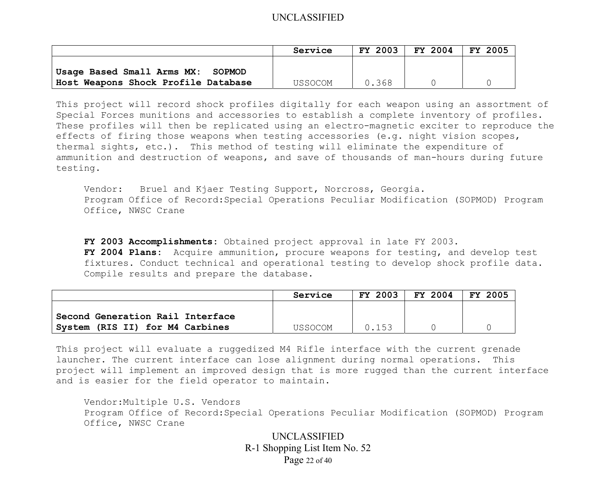|                                      | Service | <b>FY 2003</b> | FY 2004 | FY 2005 |
|--------------------------------------|---------|----------------|---------|---------|
| Usage Based Small Arms MX:<br>SOPMOD |         |                |         |         |
| Host Weapons Shock Profile Database  | USSOCOM | 0.368          |         |         |

This project will record shock profiles digitally for each weapon using an assortment of Special Forces munitions and accessories to establish a complete inventory of profiles. These profiles will then be replicated using an electro-magnetic exciter to reproduce the effects of firing those weapons when testing accessories (e.g. night vision scopes, thermal sights, etc.). This method of testing will eliminate the expenditure of ammunition and destruction of weapons, and save of thousands of man-hours during future testing.

Vendor: Bruel and Kjaer Testing Support, Norcross, Georgia. Program Office of Record:Special Operations Peculiar Modification (SOPMOD) Program Office, NWSC Crane

**FY 2003 Accomplishments:** Obtained project approval in late FY 2003. **FY 2004 Plans:** Acquire ammunition, procure weapons for testing, and develop test fixtures. Conduct technical and operational testing to develop shock profile data. Compile results and prepare the database.

|                                  | Service | <b>FY 2003</b> | FY 2004 | FY 2005 |
|----------------------------------|---------|----------------|---------|---------|
| Second Generation Rail Interface |         |                |         |         |
| System (RIS II) for M4 Carbines  | USSOCOM | 0.153          |         |         |

This project will evaluate a ruggedized M4 Rifle interface with the current grenade launcher. The current interface can lose alignment during normal operations. This project will implement an improved design that is more rugged than the current interface and is easier for the field operator to maintain.

Vendor:Multiple U.S. Vendors Program Office of Record:Special Operations Peculiar Modification (SOPMOD) Program Office, NWSC Crane

> UNCLASSIFIED R-1 Shopping List Item No. 52 Page 22 of 40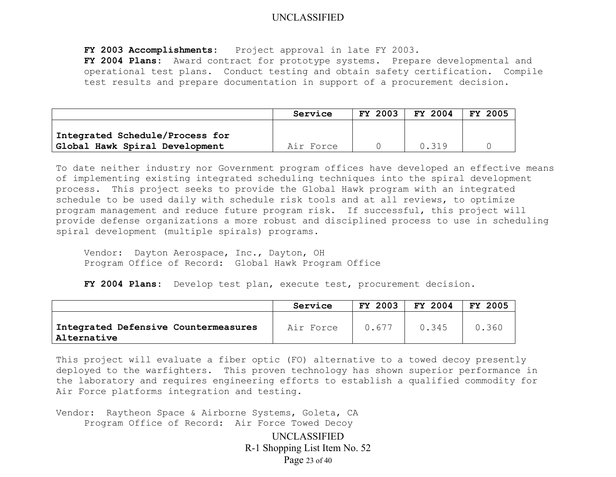**FY 2003 Accomplishments:** Project approval in late FY 2003.

**FY 2004 Plans:** Award contract for prototype systems. Prepare developmental and operational test plans. Conduct testing and obtain safety certification. Compile test results and prepare documentation in support of a procurement decision.

|                                 | Service   | <b>FY 2003</b> | FY 2004 | FY 2005 |
|---------------------------------|-----------|----------------|---------|---------|
| Integrated Schedule/Process for |           |                |         |         |
| Global Hawk Spiral Development  | Air Force |                | 0.319   |         |

To date neither industry nor Government program offices have developed an effective means of implementing existing integrated scheduling techniques into the spiral development process. This project seeks to provide the Global Hawk program with an integrated schedule to be used daily with schedule risk tools and at all reviews, to optimize program management and reduce future program risk. If successful, this project will provide defense organizations a more robust and disciplined process to use in scheduling spiral development (multiple spirals) programs.

Vendor: Dayton Aerospace, Inc., Dayton, OH Program Office of Record: Global Hawk Program Office

**FY 2004 Plans:** Develop test plan, execute test, procurement decision.

|                                                      | Service   | FY 2003 | FY 2004 | FY 2005 |
|------------------------------------------------------|-----------|---------|---------|---------|
| Integrated Defensive Countermeasures<br>'Alternative | Air Force | 0.677   | 0.345   | 0.360   |

This project will evaluate a fiber optic (FO) alternative to a towed decoy presently deployed to the warfighters. This proven technology has shown superior performance in the laboratory and requires engineering efforts to establish a qualified commodity for Air Force platforms integration and testing.

Vendor: Raytheon Space & Airborne Systems, Goleta, CA Program Office of Record: Air Force Towed Decoy

> UNCLASSIFIED R-1 Shopping List Item No. 52 Page 23 of 40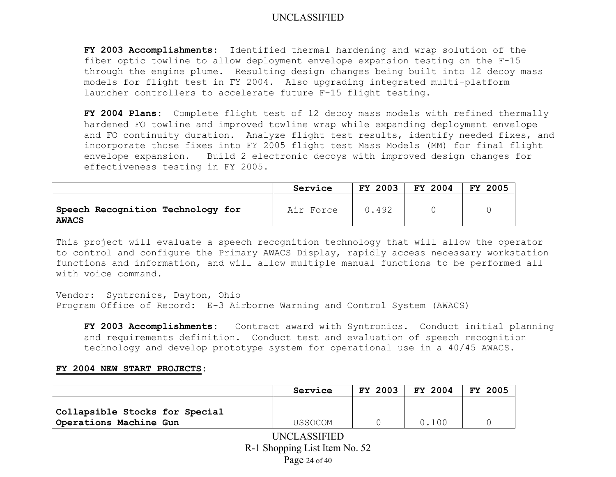**FY 2003 Accomplishments:** Identified thermal hardening and wrap solution of the fiber optic towline to allow deployment envelope expansion testing on the F-15 through the engine plume. Resulting design changes being built into 12 decoy mass models for flight test in FY 2004. Also upgrading integrated multi-platform launcher controllers to accelerate future F-15 flight testing.

**FY 2004 Plans:** Complete flight test of 12 decoy mass models with refined thermally hardened FO towline and improved towline wrap while expanding deployment envelope and FO continuity duration. Analyze flight test results, identify needed fixes, and incorporate those fixes into FY 2005 flight test Mass Models (MM) for final flight envelope expansion. Build 2 electronic decoys with improved design changes for effectiveness testing in FY 2005.

|                                                   | Service   | FY 2003 | FY 2004 | 2005<br>FY. |
|---------------------------------------------------|-----------|---------|---------|-------------|
| Speech Recognition Technology for<br><b>AWACS</b> | Air Force | 0.492   |         |             |

This project will evaluate a speech recognition technology that will allow the operator to control and configure the Primary AWACS Display, rapidly access necessary workstation functions and information, and will allow multiple manual functions to be performed all with voice command.

Vendor: Syntronics, Dayton, Ohio Program Office of Record: E-3 Airborne Warning and Control System (AWACS)

**FY 2003 Accomplishments:** Contract award with Syntronics. Conduct initial planning and requirements definition. Conduct test and evaluation of speech recognition technology and develop prototype system for operational use in a 40/45 AWACS.

#### **FY 2004 NEW START PROJECTS:**

|                                                          | Service        | <b>FY 2003</b> | FY 2004 | <b>FY 2005</b> |
|----------------------------------------------------------|----------------|----------------|---------|----------------|
| Collapsible Stocks for Special<br>Operations Machine Gun | <b>USSOCOM</b> |                | 0.100   |                |
| UNCLASSIFIED<br>R-1 Shopping List Item No. 52            |                |                |         |                |

Page 24 of 40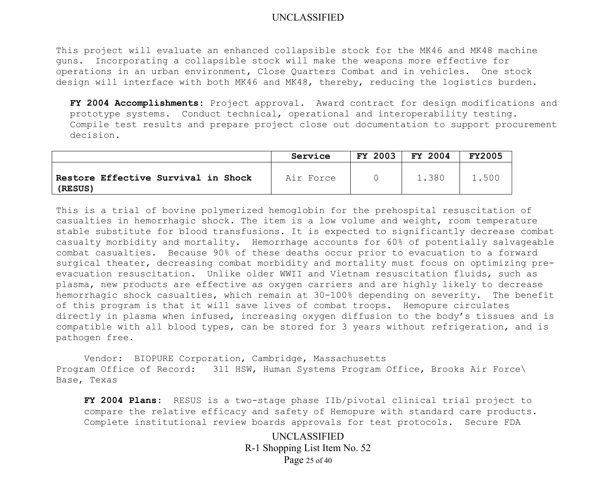This project will evaluate an enhanced collapsible stock for the MK46 and MK48 machine guns. Incorporating a collapsible stock will make the weapons more effective for operations in an urban environment, Close Quarters Combat and in vehicles. One stock design will interface with both MK46 and MK48, thereby, reducing the logistics burden.

**FY 2004 Accomplishments:** Project approval. Award contract for design modifications and prototype systems. Conduct technical, operational and interoperability testing. Compile test results and prepare project close out documentation to support procurement decision.

|                                                | Service   | FY 2003 | FY 2004 | <b>FY2005</b> |
|------------------------------------------------|-----------|---------|---------|---------------|
| Restore Effective Survival in Shock<br>(RESUS) | Air Force |         | 1.380   | 500           |

This is a trial of bovine polymerized hemoglobin for the prehospital resuscitation of casualties in hemorrhagic shock. The item is a low volume and weight, room temperature stable substitute for blood transfusions. It is expected to significantly decrease combat casualty morbidity and mortality. Hemorrhage accounts for 60% of potentially salvageable combat casualties. Because 90% of these deaths occur prior to evacuation to a forward surgical theater, decreasing combat morbidity and mortality must focus on optimizing preevacuation resuscitation. Unlike older WWII and Vietnam resuscitation fluids, such as plasma, new products are effective as oxygen carriers and are highly likely to decrease hemorrhagic shock casualties, which remain at 30-100% depending on severity. The benefit of this program is that it will save lives of combat troops. Hemopure circulates directly in plasma when infused, increasing oxygen diffusion to the body's tissues and is compatible with all blood types, can be stored for 3 years without refrigeration, and is pathogen free.

Vendor: BIOPURE Corporation, Cambridge, Massachusetts Program Office of Record: 311 HSW, Human Systems Program Office, Brooks Air Force\ Base, Texas

**FY 2004 Plans:** RESUS is a two-stage phase IIb/pivotal clinical trial project to compare the relative efficacy and safety of Hemopure with standard care products. Complete institutional review boards approvals for test protocols. Secure FDA

> UNCLASSIFIED R-1 Shopping List Item No. 52 Page 25 of 40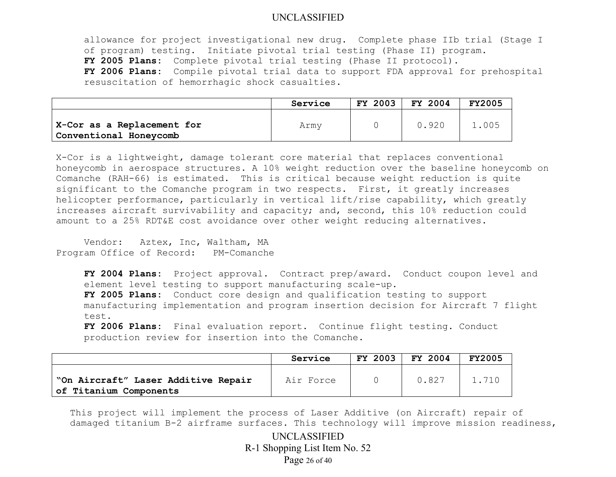allowance for project investigational new drug. Complete phase IIb trial (Stage I of program) testing. Initiate pivotal trial testing (Phase II) program. **FY 2005 Plans:** Complete pivotal trial testing (Phase II protocol). **FY 2006 Plans:** Compile pivotal trial data to support FDA approval for prehospital resuscitation of hemorrhagic shock casualties.

|                                                      | Service | FY 2003 | FY 2004 | <b>FY2005</b> |
|------------------------------------------------------|---------|---------|---------|---------------|
| X-Cor as a Replacement for<br>Conventional Honeycomb | Army    |         | 0.920   | 1.005         |

X-Cor is a lightweight, damage tolerant core material that replaces conventional honeycomb in aerospace structures. A 10% weight reduction over the baseline honeycomb on Comanche (RAH-66) is estimated. This is critical because weight reduction is quite significant to the Comanche program in two respects. First, it greatly increases helicopter performance, particularly in vertical lift/rise capability, which greatly increases aircraft survivability and capacity; and, second, this 10% reduction could amount to a 25% RDT&E cost avoidance over other weight reducing alternatives.

Vendor: Aztex, Inc, Waltham, MA Program Office of Record: PM-Comanche

> **FY 2004 Plans:** Project approval. Contract prep/award. Conduct coupon level and element level testing to support manufacturing scale-up.

> **FY 2005 Plans:** Conduct core design and qualification testing to support manufacturing implementation and program insertion decision for Aircraft 7 flight test.

**FY 2006 Plans:** Final evaluation report. Continue flight testing. Conduct production review for insertion into the Comanche.

|                                                               | Service   | FY 2003 | FY 2004 | <b>FY2005</b> |
|---------------------------------------------------------------|-----------|---------|---------|---------------|
| "On Aircraft" Laser Additive Repair<br>of Titanium Components | Air Force |         | 0.827   | 1.710         |

This project will implement the process of Laser Additive (on Aircraft) repair of damaged titanium B-2 airframe surfaces. This technology will improve mission readiness,

> UNCLASSIFIED R-1 Shopping List Item No. 52 Page 26 of 40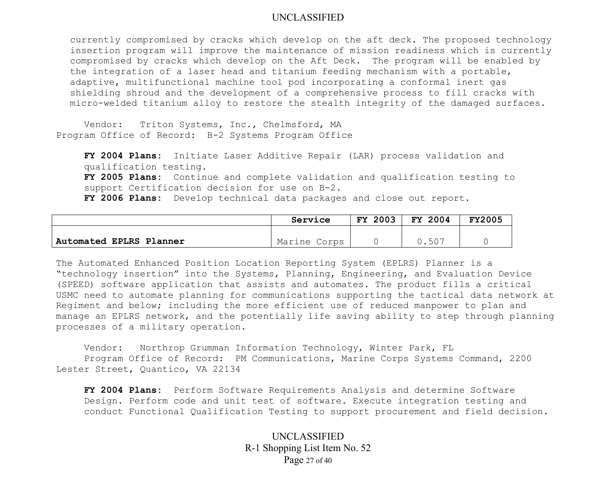currently compromised by cracks which develop on the aft deck. The proposed technology insertion program will improve the maintenance of mission readiness which is currently compromised by cracks which develop on the Aft Deck. The program will be enabled by the integration of a laser head and titanium feeding mechanism with a portable, adaptive, multifunctional machine tool pod incorporating a conformal inert gas shielding shroud and the development of a comprehensive process to fill cracks with micro-welded titanium alloy to restore the stealth integrity of the damaged surfaces.

 Vendor: Triton Systems, Inc., Chelmsford, MA Program Office of Record: B-2 Systems Program Office

**FY 2004 Plans:** Initiate Laser Additive Repair (LAR) process validation and qualification testing. **FY 2005 Plans:** Continue and complete validation and qualification testing to support Certification decision for use on B-2. **FY 2006 Plans:** Develop technical data packages and close out report.

|                         | Service      | <b>FY 2003</b> | FY 2004       | <b>FY2005</b> |
|-------------------------|--------------|----------------|---------------|---------------|
|                         |              |                |               |               |
| Automated EPLRS Planner | Marine Corps |                | $50-$<br>◡.◡◡ |               |

The Automated Enhanced Position Location Reporting System (EPLRS) Planner is a "technology insertion" into the Systems, Planning, Engineering, and Evaluation Device (SPEED) software application that assists and automates. The product fills a critical USMC need to automate planning for communications supporting the tactical data network at Regiment and below; including the more efficient use of reduced manpower to plan and manage an EPLRS network, and the potentially life saving ability to step through planning processes of a military operation.

 Vendor: Northrop Grumman Information Technology, Winter Park, FL Program Office of Record: PM Communications, Marine Corps Systems Command, 2200 Lester Street, Quantico, VA 22134

**FY 2004 Plans:** Perform Software Requirements Analysis and determine Software Design. Perform code and unit test of software. Execute integration testing and conduct Functional Qualification Testing to support procurement and field decision.

> UNCLASSIFIED R-1 Shopping List Item No. 52 Page 27 of 40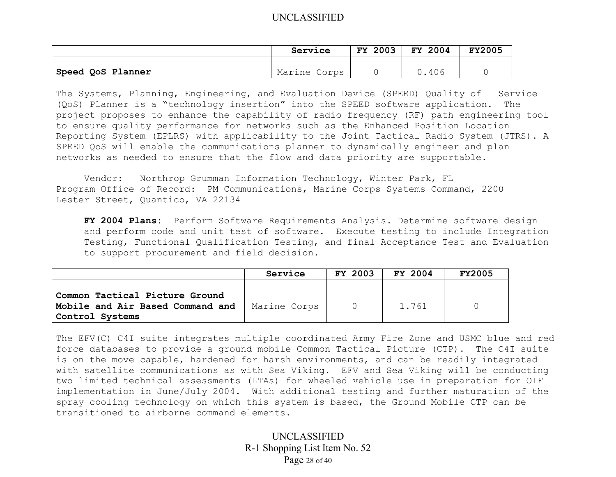|                   | Service      | 2003<br><b>FY</b> | FY 2004 | <b>FY2005</b> |
|-------------------|--------------|-------------------|---------|---------------|
|                   |              |                   |         |               |
| Speed QoS Planner | Marine Corps |                   | 406     |               |

The Systems, Planning, Engineering, and Evaluation Device (SPEED) Quality of Service (QoS) Planner is a "technology insertion" into the SPEED software application. The project proposes to enhance the capability of radio frequency (RF) path engineering tool to ensure quality performance for networks such as the Enhanced Position Location Reporting System (EPLRS) with applicability to the Joint Tactical Radio System (JTRS). A SPEED QoS will enable the communications planner to dynamically engineer and plan networks as needed to ensure that the flow and data priority are supportable.

Vendor: Northrop Grumman Information Technology, Winter Park, FL Program Office of Record: PM Communications, Marine Corps Systems Command, 2200 Lester Street, Quantico, VA 22134

**FY 2004 Plans:** Perform Software Requirements Analysis. Determine software design and perform code and unit test of software. Execute testing to include Integration Testing, Functional Qualification Testing, and final Acceptance Test and Evaluation to support procurement and field decision.

|                                                                                       | Service      | <b>FY 2003</b> | FY 2004 | <b>FY2005</b> |
|---------------------------------------------------------------------------------------|--------------|----------------|---------|---------------|
| Common Tactical Picture Ground<br>Mobile and Air Based Command and<br>Control Systems | Marine Corps | $\cap$         | 1.761   |               |

The EFV(C) C4I suite integrates multiple coordinated Army Fire Zone and USMC blue and red force databases to provide a ground mobile Common Tactical Picture (CTP). The C4I suite is on the move capable, hardened for harsh environments, and can be readily integrated with satellite communications as with Sea Viking. EFV and Sea Viking will be conducting two limited technical assessments (LTAs) for wheeled vehicle use in preparation for OIF implementation in June/July 2004. With additional testing and further maturation of the spray cooling technology on which this system is based, the Ground Mobile CTP can be transitioned to airborne command elements.

> UNCLASSIFIED R-1 Shopping List Item No. 52 Page 28 of 40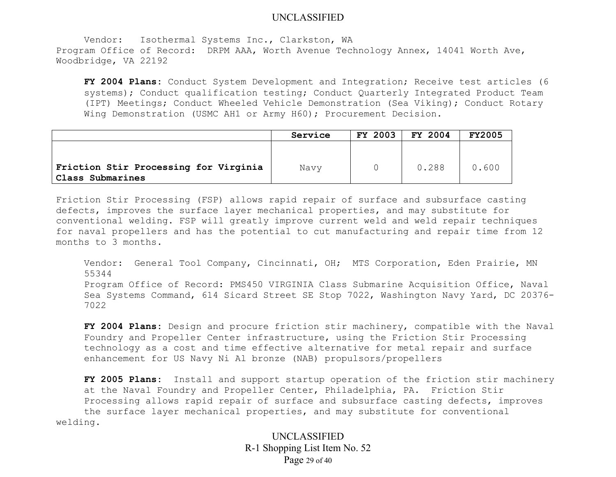Vendor: Isothermal Systems Inc., Clarkston, WA Program Office of Record: DRPM AAA, Worth Avenue Technology Annex, 14041 Worth Ave, Woodbridge, VA 22192

**FY 2004 Plans:** Conduct System Development and Integration; Receive test articles (6 systems); Conduct qualification testing; Conduct Quarterly Integrated Product Team (IPT) Meetings; Conduct Wheeled Vehicle Demonstration (Sea Viking); Conduct Rotary Wing Demonstration (USMC AH1 or Army H60); Procurement Decision.

|                                                           | Service | <b>FY 2003</b> | FY 2004 | <b>FY2005</b> |
|-----------------------------------------------------------|---------|----------------|---------|---------------|
| Friction Stir Processing for Virginia<br>Class Submarines | Navy    |                | 0.288   | 0.600         |

Friction Stir Processing (FSP) allows rapid repair of surface and subsurface casting defects, improves the surface layer mechanical properties, and may substitute for conventional welding. FSP will greatly improve current weld and weld repair techniques for naval propellers and has the potential to cut manufacturing and repair time from 12 months to 3 months.

Vendor: General Tool Company, Cincinnati, OH; MTS Corporation, Eden Prairie, MN 55344 Program Office of Record: PMS450 VIRGINIA Class Submarine Acquisition Office, Naval Sea Systems Command, 614 Sicard Street SE Stop 7022, Washington Navy Yard, DC 20376- 7022

**FY 2004 Plans:** Design and procure friction stir machinery, compatible with the Naval Foundry and Propeller Center infrastructure, using the Friction Stir Processing technology as a cost and time effective alternative for metal repair and surface enhancement for US Navy Ni Al bronze (NAB) propulsors/propellers

**FY 2005 Plans:** Install and support startup operation of the friction stir machinery at the Naval Foundry and Propeller Center, Philadelphia, PA. Friction Stir Processing allows rapid repair of surface and subsurface casting defects, improves the surface layer mechanical properties, and may substitute for conventional welding.

> UNCLASSIFIED R-1 Shopping List Item No. 52 Page 29 of 40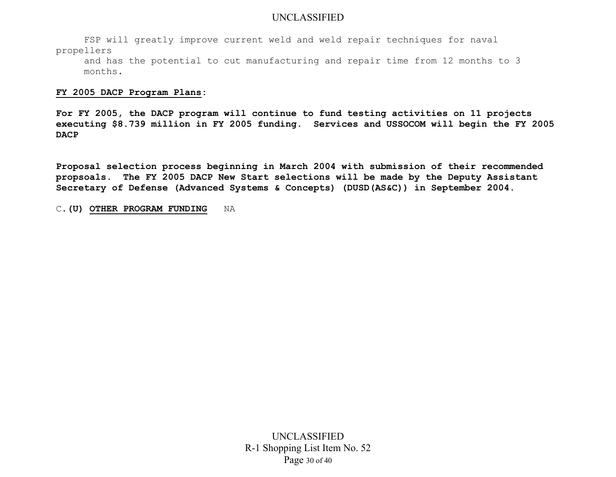FSP will greatly improve current weld and weld repair techniques for naval propellers

and has the potential to cut manufacturing and repair time from 12 months to 3 months.

#### **FY 2005 DACP Program Plans:**

**For FY 2005, the DACP program will continue to fund testing activities on 11 projects executing \$8.739 million in FY 2005 funding. Services and USSOCOM will begin the FY 2005 DACP** 

**Proposal selection process beginning in March 2004 with submission of their recommended propsoals. The FY 2005 DACP New Start selections will be made by the Deputy Assistant Secretary of Defense (Advanced Systems & Concepts) (DUSD(AS&C)) in September 2004.** 

C.**(U) OTHER PROGRAM FUNDING** NA

UNCLASSIFIED R-1 Shopping List Item No. 52 Page 30 of 40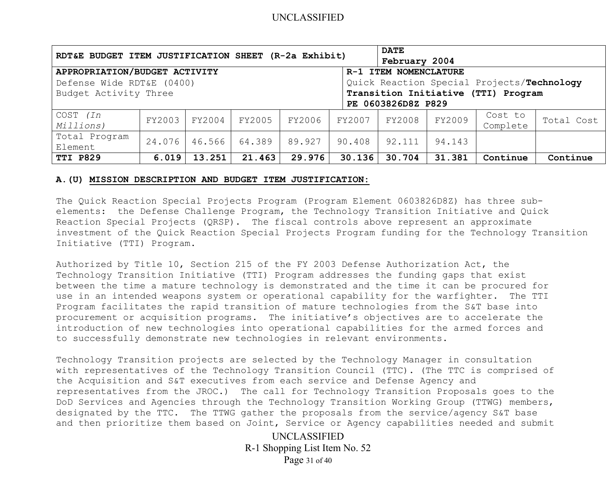| RDT&E BUDGET ITEM JUSTIFICATION SHEET (R-2a Exhibit)                                                                                                                                                                    |        |        |        |        |        | <b>DATE</b><br>February 2004 |        |                     |            |
|-------------------------------------------------------------------------------------------------------------------------------------------------------------------------------------------------------------------------|--------|--------|--------|--------|--------|------------------------------|--------|---------------------|------------|
| APPROPRIATION/BUDGET ACTIVITY<br>R-1 ITEM NOMENCLATURE<br>Quick Reaction Special Projects/Technology<br>Defense Wide RDT&E (0400)<br>Transition Initiative (TTI) Program<br>Budget Activity Three<br>PE 0603826D8Z P829 |        |        |        |        |        |                              |        |                     |            |
| COST (In<br>Millions)                                                                                                                                                                                                   | FY2003 | FY2004 | FY2005 | FY2006 | FY2007 | FY2008                       | FY2009 | Cost to<br>Complete | Total Cost |
| Total Program<br>Element                                                                                                                                                                                                | 24.076 | 46.566 | 64.389 | 89.927 | 90.408 | 92.111                       | 94.143 |                     |            |
| <b>TTI P829</b>                                                                                                                                                                                                         | 6.019  | 13.251 | 21.463 | 29.976 | 30.136 | 30.704                       | 31.381 | Continue            | Continue   |

#### **A.(U) MISSION DESCRIPTION AND BUDGET ITEM JUSTIFICATION:**

The Quick Reaction Special Projects Program (Program Element 0603826D8Z) has three subelements: the Defense Challenge Program, the Technology Transition Initiative and Quick Reaction Special Projects (QRSP). The fiscal controls above represent an approximate investment of the Quick Reaction Special Projects Program funding for the Technology Transition Initiative (TTI) Program.

Authorized by Title 10, Section 215 of the FY 2003 Defense Authorization Act, the Technology Transition Initiative (TTI) Program addresses the funding gaps that exist between the time a mature technology is demonstrated and the time it can be procured for use in an intended weapons system or operational capability for the warfighter. The TTI Program facilitates the rapid transition of mature technologies from the S&T base into procurement or acquisition programs. The initiative's objectives are to accelerate the introduction of new technologies into operational capabilities for the armed forces and to successfully demonstrate new technologies in relevant environments.

Technology Transition projects are selected by the Technology Manager in consultation with representatives of the Technology Transition Council (TTC). (The TTC is comprised of the Acquisition and S&T executives from each service and Defense Agency and representatives from the JROC.) The call for Technology Transition Proposals goes to the DoD Services and Agencies through the Technology Transition Working Group (TTWG) members, designated by the TTC. The TTWG gather the proposals from the service/agency S&T base and then prioritize them based on Joint, Service or Agency capabilities needed and submit

> UNCLASSIFIED R-1 Shopping List Item No. 52 Page 31 of 40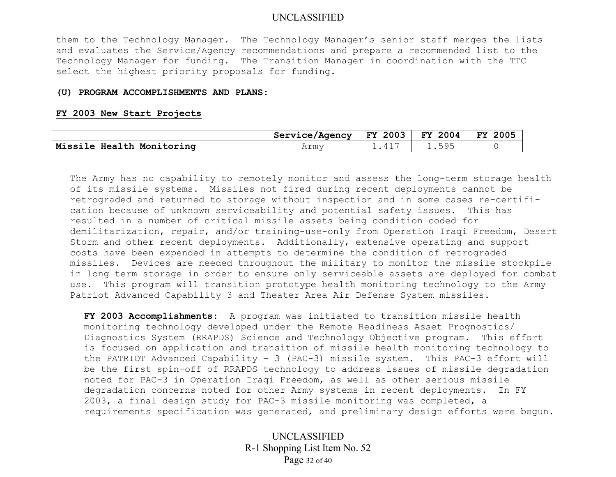them to the Technology Manager. The Technology Manager's senior staff merges the lists and evaluates the Service/Agency recommendations and prepare a recommended list to the Technology Manager for funding. The Transition Manager in coordination with the TTC select the highest priority proposals for funding.

#### **(U) PROGRAM ACCOMPLISHMENTS AND PLANS:**

#### **FY 2003 New Start Projects**

|                           | Service/Agency | $FY$ 2003 | FY 2004 | 2005<br>FY |
|---------------------------|----------------|-----------|---------|------------|
| Missile Health Monitoring | Armv           |           |         |            |

The Army has no capability to remotely monitor and assess the long-term storage health of its missile systems. Missiles not fired during recent deployments cannot be retrograded and returned to storage without inspection and in some cases re-certification because of unknown serviceability and potential safety issues. This has resulted in a number of critical missile assets being condition coded for demilitarization, repair, and/or training-use-only from Operation Iraqi Freedom, Desert Storm and other recent deployments. Additionally, extensive operating and support costs have been expended in attempts to determine the condition of retrograded missiles. Devices are needed throughout the military to monitor the missile stockpile in long term storage in order to ensure only serviceable assets are deployed for combat use. This program will transition prototype health monitoring technology to the Army Patriot Advanced Capability–3 and Theater Area Air Defense System missiles.

**FY 2003 Accomplishments:** A program was initiated to transition missile health monitoring technology developed under the Remote Readiness Asset Prognostics/ Diagnostics System (RRAPDS) Science and Technology Objective program. This effort is focused on application and transition of missile health monitoring technology to the PATRIOT Advanced Capability – 3 (PAC-3) missile system. This PAC-3 effort will be the first spin-off of RRAPDS technology to address issues of missile degradation noted for PAC-3 in Operation Iraqi Freedom, as well as other serious missile degradation concerns noted for other Army systems in recent deployments. In FY 2003, a final design study for PAC-3 missile monitoring was completed, a requirements specification was generated, and preliminary design efforts were begun.

> UNCLASSIFIED R-1 Shopping List Item No. 52 Page 32 of 40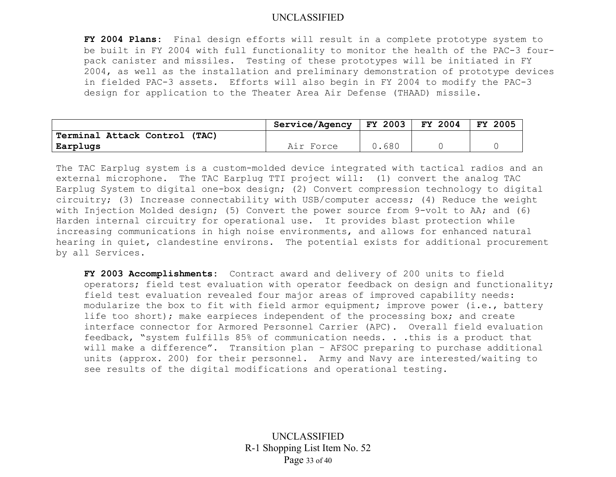**FY 2004 Plans:** Final design efforts will result in a complete prototype system to be built in FY 2004 with full functionality to monitor the health of the PAC-3 fourpack canister and missiles. Testing of these prototypes will be initiated in FY 2004, as well as the installation and preliminary demonstration of prototype devices in fielded PAC-3 assets. Efforts will also begin in FY 2004 to modify the PAC-3 design for application to the Theater Area Air Defense (THAAD) missile.

|                                  | <b>Service/Agency</b> | <b>FY 2003</b> | FY 2004 | 2005<br>FY. |
|----------------------------------|-----------------------|----------------|---------|-------------|
| Terminal Attack Control<br>(TAC) |                       |                |         |             |
| Earplugs                         | Air Force             | .680           |         |             |

The TAC Earplug system is a custom-molded device integrated with tactical radios and an external microphone. The TAC Earplug TTI project will: (1) convert the analog TAC Earplug System to digital one-box design; (2) Convert compression technology to digital circuitry; (3) Increase connectability with USB/computer access; (4) Reduce the weight with Injection Molded design; (5) Convert the power source from 9-volt to AA; and (6) Harden internal circuitry for operational use. It provides blast protection while increasing communications in high noise environments, and allows for enhanced natural hearing in quiet, clandestine environs. The potential exists for additional procurement by all Services.

**FY 2003 Accomplishments:** Contract award and delivery of 200 units to field operators; field test evaluation with operator feedback on design and functionality; field test evaluation revealed four major areas of improved capability needs: modularize the box to fit with field armor equipment; improve power (i.e., battery life too short); make earpieces independent of the processing box; and create interface connector for Armored Personnel Carrier (APC). Overall field evaluation feedback, "system fulfills 85% of communication needs. . .this is a product that will make a difference". Transition plan - AFSOC preparing to purchase additional units (approx. 200) for their personnel. Army and Navy are interested/waiting to see results of the digital modifications and operational testing.

> UNCLASSIFIED R-1 Shopping List Item No. 52 Page 33 of 40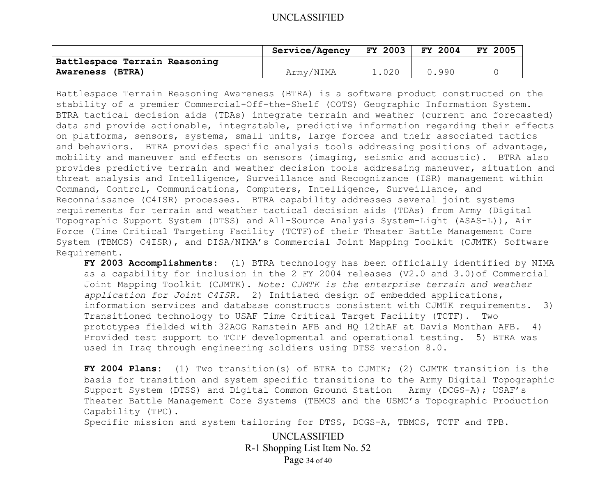|                               | Service/Agency | FY 2003 | <b>FY 2004</b> | <b>FY 2005</b> |
|-------------------------------|----------------|---------|----------------|----------------|
| Battlespace Terrain Reasoning |                |         |                |                |
| <b>Awareness (BTRA)</b>       | Army/NIMA      | 1.020   | 0.990          |                |

Battlespace Terrain Reasoning Awareness (BTRA) is a software product constructed on the stability of a premier Commercial-Off-the-Shelf (COTS) Geographic Information System. BTRA tactical decision aids (TDAs) integrate terrain and weather (current and forecasted) data and provide actionable, integratable, predictive information regarding their effects on platforms, sensors, systems, small units, large forces and their associated tactics and behaviors. BTRA provides specific analysis tools addressing positions of advantage, mobility and maneuver and effects on sensors (imaging, seismic and acoustic). BTRA also provides predictive terrain and weather decision tools addressing maneuver, situation and threat analysis and Intelligence, Surveillance and Recognizance (ISR) management within Command, Control, Communications, Computers, Intelligence, Surveillance, and Reconnaissance (C4ISR) processes. BTRA capability addresses several joint systems requirements for terrain and weather tactical decision aids (TDAs) from Army (Digital Topographic Support System (DTSS) and All-Source Analysis System-Light (ASAS-L)), Air Force (Time Critical Targeting Facility (TCTF)of their Theater Battle Management Core System (TBMCS) C4ISR), and DISA/NIMA's Commercial Joint Mapping Toolkit (CJMTK) Software Requirement.

**FY 2003 Accomplishments:** (1) BTRA technology has been officially identified by NIMA as a capability for inclusion in the 2 FY 2004 releases (V2.0 and 3.0)of Commercial Joint Mapping Toolkit (CJMTK). *Note: CJMTK is the enterprise terrain and weather application for Joint C4ISR.* 2) Initiated design of embedded applications, information services and database constructs consistent with CJMTK requirements. 3) Transitioned technology to USAF Time Critical Target Facility (TCTF). Two prototypes fielded with 32AOG Ramstein AFB and HQ 12thAF at Davis Monthan AFB. 4) Provided test support to TCTF developmental and operational testing. 5) BTRA was used in Iraq through engineering soldiers using DTSS version 8.0.

**FY 2004 Plans:** (1) Two transition(s) of BTRA to CJMTK; (2) CJMTK transition is the basis for transition and system specific transitions to the Army Digital Topographic Support System (DTSS) and Digital Common Ground Station – Army (DCGS-A); USAF's Theater Battle Management Core Systems (TBMCS and the USMC's Topographic Production Capability (TPC).

Specific mission and system tailoring for DTSS, DCGS-A, TBMCS, TCTF and TPB.

UNCLASSIFIED R-1 Shopping List Item No. 52 Page 34 of 40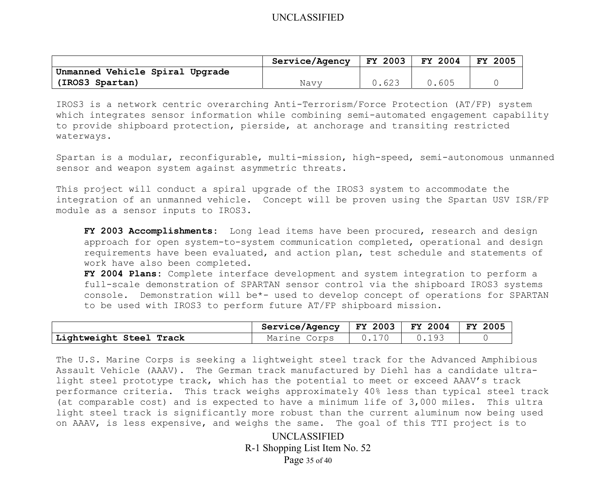|                                 | Service/Agency | FY 2003 | <b>FY 2004</b> | <b>FY 2005</b> |
|---------------------------------|----------------|---------|----------------|----------------|
| Unmanned Vehicle Spiral Upgrade |                |         |                |                |
| (IROS3 Spartan)                 | Navv           | 0.623   | 0.605          |                |

IROS3 is a network centric overarching Anti-Terrorism/Force Protection (AT/FP) system which integrates sensor information while combining semi-automated engagement capability to provide shipboard protection, pierside, at anchorage and transiting restricted waterways.

Spartan is a modular, reconfigurable, multi-mission, high-speed, semi-autonomous unmanned sensor and weapon system against asymmetric threats.

This project will conduct a spiral upgrade of the IROS3 system to accommodate the integration of an unmanned vehicle. Concept will be proven using the Spartan USV ISR/FP module as a sensor inputs to IROS3.

**FY 2003 Accomplishments:** Long lead items have been procured, research and design approach for open system-to-system communication completed, operational and design requirements have been evaluated, and action plan, test schedule and statements of work have also been completed.

**FY 2004 Plans:** Complete interface development and system integration to perform a full-scale demonstration of SPARTAN sensor control via the shipboard IROS3 systems console. Demonstration will be\*- used to develop concept of operations for SPARTAN to be used with IROS3 to perform future AT/FP shipboard mission.

|                         | Service/Agency | $ $ FY 2003 $ $ | $FY 2004$ FY 2005 |  |
|-------------------------|----------------|-----------------|-------------------|--|
| Lightweight Steel Track | Marine Corps   |                 | 0.193             |  |

The U.S. Marine Corps is seeking a lightweight steel track for the Advanced Amphibious Assault Vehicle (AAAV). The German track manufactured by Diehl has a candidate ultralight steel prototype track, which has the potential to meet or exceed AAAV's track performance criteria. This track weighs approximately 40% less than typical steel track (at comparable cost) and is expected to have a minimum life of 3,000 miles. This ultra light steel track is significantly more robust than the current aluminum now being used on AAAV, is less expensive, and weighs the same. The goal of this TTI project is to

> UNCLASSIFIED R-1 Shopping List Item No. 52 Page 35 of 40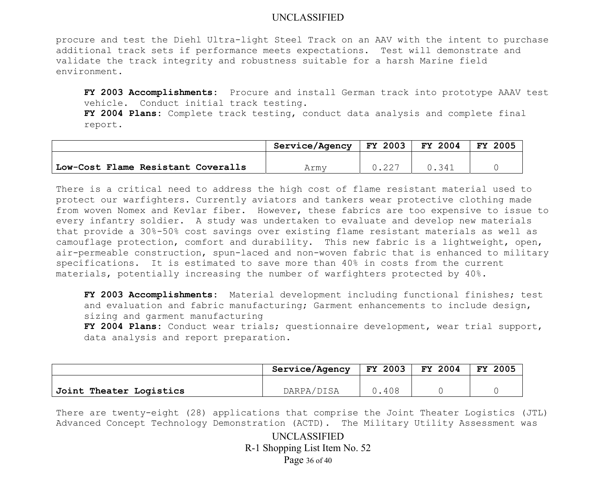procure and test the Diehl Ultra-light Steel Track on an AAV with the intent to purchase additional track sets if performance meets expectations. Test will demonstrate and validate the track integrity and robustness suitable for a harsh Marine field environment.

**FY 2003 Accomplishments:** Procure and install German track into prototype AAAV test vehicle. Conduct initial track testing.

**FY 2004 Plans:** Complete track testing, conduct data analysis and complete final report.

|                                    | Service/Agency   FY 2003 | <b>FY 2004</b> | FY 2005 |
|------------------------------------|--------------------------|----------------|---------|
|                                    |                          |                |         |
| Low-Cost Flame Resistant Coveralls | Armv                     | U 341          |         |

There is a critical need to address the high cost of flame resistant material used to protect our warfighters. Currently aviators and tankers wear protective clothing made from woven Nomex and Kevlar fiber. However, these fabrics are too expensive to issue to every infantry soldier. A study was undertaken to evaluate and develop new materials that provide a 30%-50% cost savings over existing flame resistant materials as well as camouflage protection, comfort and durability. This new fabric is a lightweight, open, air-permeable construction, spun-laced and non-woven fabric that is enhanced to military specifications. It is estimated to save more than 40% in costs from the current materials, potentially increasing the number of warfighters protected by 40%.

**FY 2003 Accomplishments:** Material development including functional finishes; test and evaluation and fabric manufacturing; Garment enhancements to include design, sizing and garment manufacturing

**FY 2004 Plans:** Conduct wear trials; questionnaire development, wear trial support, data analysis and report preparation.

|                         | Service/Agency | <b>FY 2003</b> | FY 2004 | 2005<br>FY |
|-------------------------|----------------|----------------|---------|------------|
|                         |                |                |         |            |
| Joint Theater Logistics | DARPA/DISA     | 0.408          |         |            |

There are twenty-eight (28) applications that comprise the Joint Theater Logistics (JTL) Advanced Concept Technology Demonstration (ACTD). The Military Utility Assessment was

> UNCLASSIFIED R-1 Shopping List Item No. 52 Page 36 of 40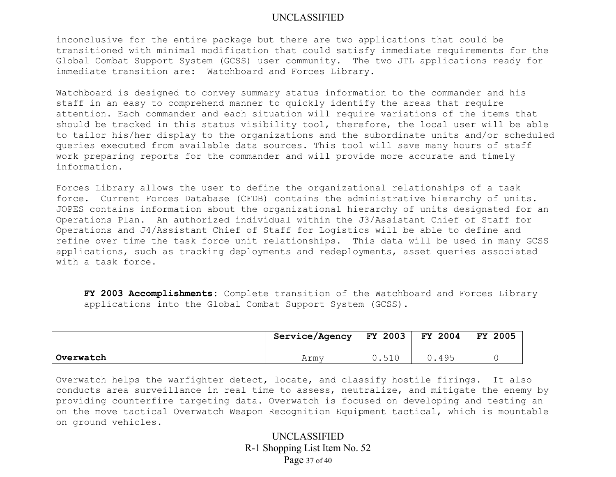inconclusive for the entire package but there are two applications that could be transitioned with minimal modification that could satisfy immediate requirements for the Global Combat Support System (GCSS) user community. The two JTL applications ready for immediate transition are: Watchboard and Forces Library.

Watchboard is designed to convey summary status information to the commander and his staff in an easy to comprehend manner to quickly identify the areas that require attention. Each commander and each situation will require variations of the items that should be tracked in this status visibility tool, therefore, the local user will be able to tailor his/her display to the organizations and the subordinate units and/or scheduled queries executed from available data sources. This tool will save many hours of staff work preparing reports for the commander and will provide more accurate and timely information.

Forces Library allows the user to define the organizational relationships of a task force. Current Forces Database (CFDB) contains the administrative hierarchy of units. JOPES contains information about the organizational hierarchy of units designated for an Operations Plan. An authorized individual within the J3/Assistant Chief of Staff for Operations and J4/Assistant Chief of Staff for Logistics will be able to define and refine over time the task force unit relationships. This data will be used in many GCSS applications, such as tracking deployments and redeployments, asset queries associated with a task force.

**FY 2003 Accomplishments:** Complete transition of the Watchboard and Forces Library applications into the Global Combat Support System (GCSS).

|           | <b>Service/Agency</b> | 2003<br>FY. | 2004<br>FY. | 2005<br><b>FY</b> |
|-----------|-----------------------|-------------|-------------|-------------------|
|           |                       |             |             |                   |
| Overwatch | Armv                  | ◡ - ◡ - ◡   | 495         |                   |

Overwatch helps the warfighter detect, locate, and classify hostile firings. It also conducts area surveillance in real time to assess, neutralize, and mitigate the enemy by providing counterfire targeting data. Overwatch is focused on developing and testing an on the move tactical Overwatch Weapon Recognition Equipment tactical, which is mountable on ground vehicles.

> UNCLASSIFIED R-1 Shopping List Item No. 52 Page 37 of 40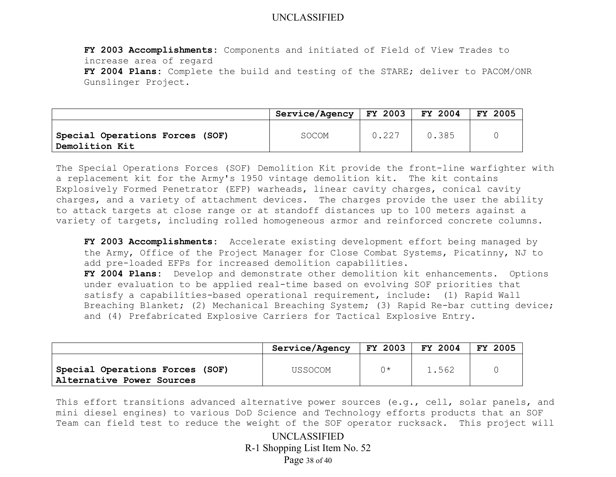**FY 2003 Accomplishments:** Components and initiated of Field of View Trades to increase area of regard **FY 2004 Plans:** Complete the build and testing of the STARE; deliver to PACOM/ONR Gunslinger Project.

|                                                   | Service/Agency | $ $ FY 2003 $ $ FY 2004 |       | <b>FY 2005</b> |
|---------------------------------------------------|----------------|-------------------------|-------|----------------|
| Special Operations Forces (SOF)<br>Demolition Kit | <b>SOCOM</b>   | 0.227                   | 0.385 |                |

The Special Operations Forces (SOF) Demolition Kit provide the front-line warfighter with a replacement kit for the Army's 1950 vintage demolition kit. The kit contains Explosively Formed Penetrator (EFP) warheads, linear cavity charges, conical cavity charges, and a variety of attachment devices. The charges provide the user the ability to attack targets at close range or at standoff distances up to 100 meters against a variety of targets, including rolled homogeneous armor and reinforced concrete columns.

**FY 2003 Accomplishments:** Accelerate existing development effort being managed by the Army, Office of the Project Manager for Close Combat Systems, Picatinny, NJ to add pre-loaded EFPs for increased demolition capabilities. **FY 2004 Plans:** Develop and demonstrate other demolition kit enhancements. Options under evaluation to be applied real-time based on evolving SOF priorities that satisfy a capabilities-based operational requirement, include: (1) Rapid Wall Breaching Blanket; (2) Mechanical Breaching System; (3) Rapid Re-bar cutting device; and (4) Prefabricated Explosive Carriers for Tactical Explosive Entry.

|                                                              | Service/Agency | FY 2003 | FY 2004 | FY 2005 |
|--------------------------------------------------------------|----------------|---------|---------|---------|
| Special Operations Forces (SOF)<br>Alternative Power Sources | USSOCOM        | へき      | 1.562   |         |

This effort transitions advanced alternative power sources (e.g., cell, solar panels, and mini diesel engines) to various DoD Science and Technology efforts products that an SOF Team can field test to reduce the weight of the SOF operator rucksack. This project will

> UNCLASSIFIED R-1 Shopping List Item No. 52 Page 38 of 40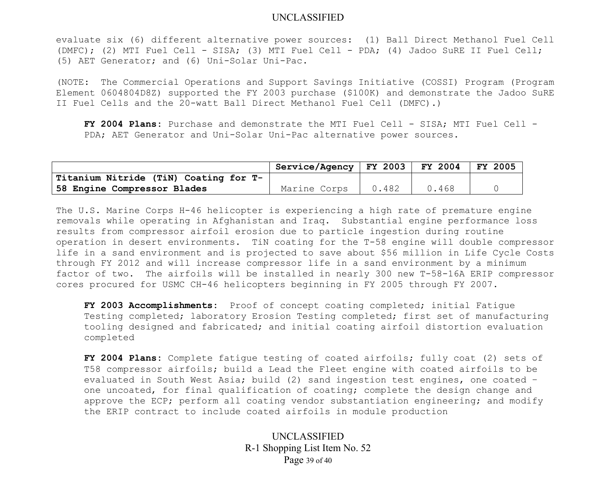evaluate six (6) different alternative power sources: (1) Ball Direct Methanol Fuel Cell (DMFC); (2) MTI Fuel Cell - SISA; (3) MTI Fuel Cell - PDA; (4) Jadoo SuRE II Fuel Cell; (5) AET Generator; and (6) Uni-Solar Uni-Pac.

(NOTE: The Commercial Operations and Support Savings Initiative (COSSI) Program (Program Element 0604804D8Z) supported the FY 2003 purchase (\$100K) and demonstrate the Jadoo SuRE II Fuel Cells and the 20-watt Ball Direct Methanol Fuel Cell (DMFC).)

**FY 2004 Plans:** Purchase and demonstrate the MTI Fuel Cell - SISA; MTI Fuel Cell - PDA; AET Generator and Uni-Solar Uni-Pac alternative power sources.

|                                       | Service/Agency   FY 2003 |       | $ $ FY 2004 $ $ | $FY$ 2005 |
|---------------------------------------|--------------------------|-------|-----------------|-----------|
| Titanium Nitride (TiN) Coating for T- |                          |       |                 |           |
| 58 Engine Compressor Blades           | Marine Corps             | 0.482 | 0.468           |           |

The U.S. Marine Corps H-46 helicopter is experiencing a high rate of premature engine removals while operating in Afghanistan and Iraq. Substantial engine performance loss results from compressor airfoil erosion due to particle ingestion during routine operation in desert environments. TiN coating for the T-58 engine will double compressor life in a sand environment and is projected to save about \$56 million in Life Cycle Costs through FY 2012 and will increase compressor life in a sand environment by a minimum factor of two. The airfoils will be installed in nearly 300 new T-58-16A ERIP compressor cores procured for USMC CH-46 helicopters beginning in FY 2005 through FY 2007.

**FY 2003 Accomplishments:** Proof of concept coating completed; initial Fatigue Testing completed; laboratory Erosion Testing completed; first set of manufacturing tooling designed and fabricated; and initial coating airfoil distortion evaluation completed

**FY 2004 Plans:** Complete fatigue testing of coated airfoils; fully coat (2) sets of T58 compressor airfoils; build a Lead the Fleet engine with coated airfoils to be evaluated in South West Asia; build (2) sand ingestion test engines, one coated – one uncoated, for final qualification of coating; complete the design change and approve the ECP; perform all coating vendor substantiation engineering; and modify the ERIP contract to include coated airfoils in module production

> UNCLASSIFIED R-1 Shopping List Item No. 52 Page 39 of 40